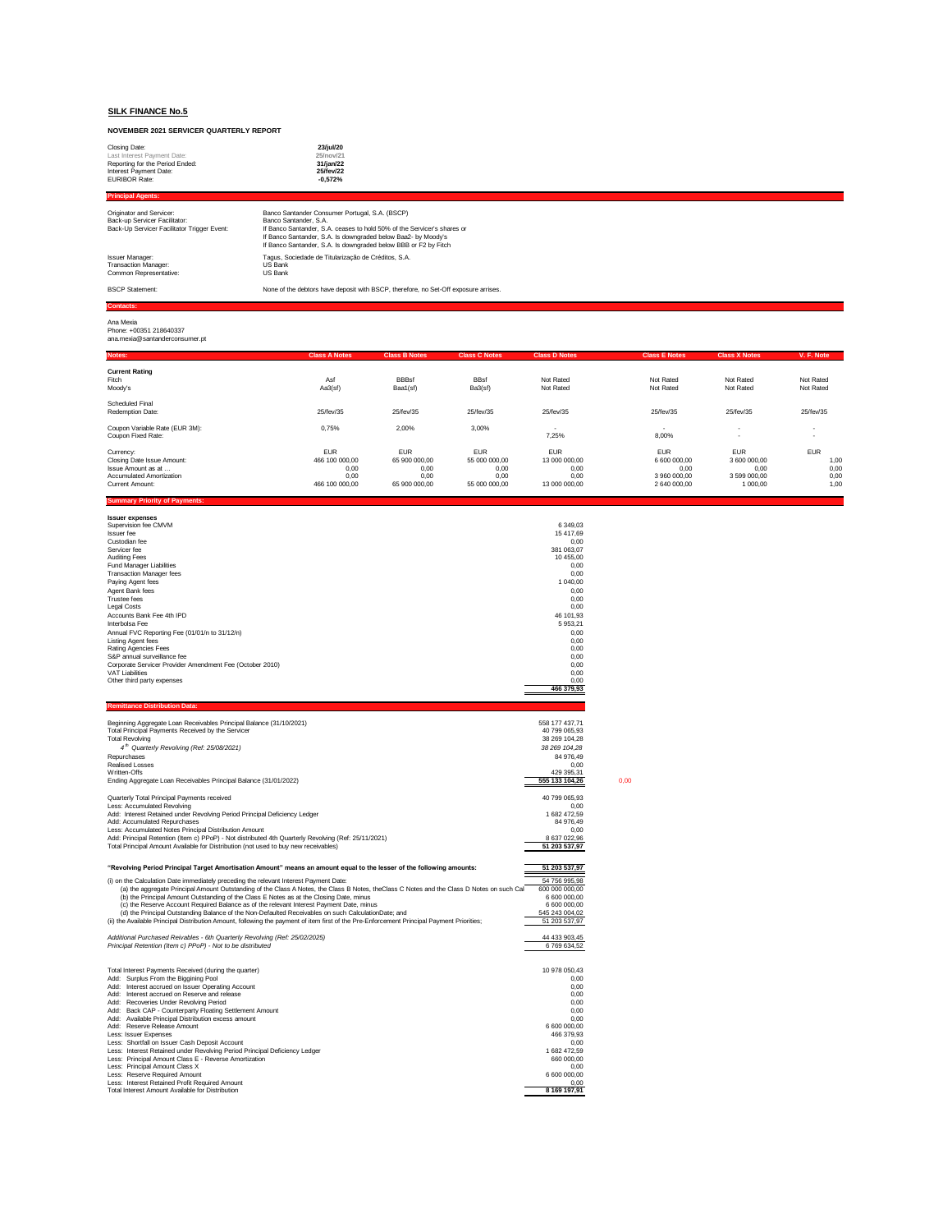# **NOVEMBER 2021 SERVICER QUARTERLY REPORT**

| Closing Date:<br>Last Interest Payment Date:<br>Reporting for the Period Ended:<br>Interest Payment Date:<br><b>EURIBOR Rate:</b> | 23/jul/20<br>25/nov/21<br>31/jan/22<br>25/fev/22<br>$-0.572%$                                                                                                                                                                                                                          |
|-----------------------------------------------------------------------------------------------------------------------------------|----------------------------------------------------------------------------------------------------------------------------------------------------------------------------------------------------------------------------------------------------------------------------------------|
| <b>Principal Agents:</b>                                                                                                          |                                                                                                                                                                                                                                                                                        |
| Originator and Servicer:<br>Back-up Servicer Facilitator:<br>Back-Up Servicer Facilitator Trigger Event:                          | Banco Santander Consumer Portugal, S.A. (BSCP)<br>Banco Santander, S.A.<br>If Banco Santander, S.A. ceases to hold 50% of the Servicer's shares or<br>If Banco Santander, S.A. Is downgraded below Baa2- by Moody's<br>If Banco Santander, S.A. Is downgraded below BBB or F2 by Fitch |
| <b>Issuer Manager:</b><br>Transaction Manager:<br>Common Representative:                                                          | Tagus, Sociedade de Titularização de Créditos, S.A.<br>US Bank<br>US Bank                                                                                                                                                                                                              |
| <b>BSCP Statement:</b>                                                                                                            | None of the debtors have deposit with BSCP, therefore, no Set-Off exposure arrises.                                                                                                                                                                                                    |
| <b>Contacts:</b>                                                                                                                  |                                                                                                                                                                                                                                                                                        |
| Ana Mexia<br>Phone: +00351 218640337<br>ana.mexia@santanderconsumer.pt                                                            |                                                                                                                                                                                                                                                                                        |

| Notes:                                                                                                       | <b>Class A Notes</b>                                           | <b>Class B Notes</b>                                         | <b>Class C Notes</b>                                         | <b>Class D Notes</b>                                         | <b>Class E Notes</b>                                               | <b>Class X Notes</b>                                           | V. F. Note                                 |
|--------------------------------------------------------------------------------------------------------------|----------------------------------------------------------------|--------------------------------------------------------------|--------------------------------------------------------------|--------------------------------------------------------------|--------------------------------------------------------------------|----------------------------------------------------------------|--------------------------------------------|
| <b>Current Rating</b><br>Fitch<br>Moodv's                                                                    | Asf<br>Aa3(sf)                                                 | <b>BBBsf</b><br>Baa1(sf)                                     | <b>BBsf</b><br>Ba3(sf)                                       | Not Rated<br>Not Rated                                       | Not Rated<br>Not Rated                                             | Not Rated<br>Not Rated                                         | Not Rated<br>Not Rated                     |
| Scheduled Final<br>Redemption Date:                                                                          | 25/fev/35                                                      | 25/fev/35                                                    | 25/fev/35                                                    | 25/fev/35                                                    | 25/fev/35                                                          | 25/fev/35                                                      | 25/fev/35                                  |
| Coupon Variable Rate (EUR 3M):<br>Coupon Fixed Rate:                                                         | 0.75%                                                          | 2,00%                                                        | 3,00%                                                        | 7,25%                                                        | $\overline{\phantom{a}}$<br>8,00%                                  |                                                                | $\sim$                                     |
| Currency:<br>Closing Date Issue Amount:<br>Issue Amount as at<br>Accumulated Amortization<br>Current Amount: | <b>EUR</b><br>466 100 000,00<br>0.00<br>0,00<br>466 100 000.00 | <b>EUR</b><br>65 900 000,00<br>0,00<br>0,00<br>65 900 000,00 | <b>EUR</b><br>55 000 000,00<br>0.00<br>0.00<br>55 000 000,00 | <b>EUR</b><br>13 000 000,00<br>0.00<br>0,00<br>13 000 000,00 | <b>EUR</b><br>6 600 000,00<br>0.00<br>3 960 000.00<br>2 640 000,00 | <b>EUR</b><br>3 600 000,00<br>0.00<br>3 599 000.00<br>1 000.00 | <b>EUR</b><br>1,00<br>0,00<br>0,00<br>1,00 |

| <b>Summary Priority of Payments:</b> |  |  |  |
|--------------------------------------|--|--|--|
|                                      |  |  |  |

| <b>Issuer expenses</b>                                              |                |
|---------------------------------------------------------------------|----------------|
| Supervision fee CMVM                                                | 6 349,03       |
| <b>Issuer fee</b>                                                   | 15 417.69      |
| Custodian fee                                                       | 0.00           |
| Servicer fee                                                        | 381 063.07     |
| <b>Auditing Fees</b>                                                | 10 455.00      |
| Fund Manager Liabilities                                            | 0,00           |
| <b>Transaction Manager fees</b>                                     | 0.00           |
| Paying Agent fees                                                   | 1 040,00       |
| Agent Bank fees                                                     | 0.00           |
| <b>Trustee fees</b>                                                 | 0,00           |
| <b>Legal Costs</b>                                                  | 0.00           |
| Accounts Bank Fee 4th IPD                                           | 46 101,93      |
| Interbolsa Fee                                                      | 5 953,21       |
| Annual FVC Reporting Fee (01/01/n to 31/12/n)                       | 0,00           |
| <b>Listing Agent fees</b>                                           | 0.00           |
| Rating Agencies Fees                                                | 0,00           |
| S&P annual surveillance fee                                         | 0.00           |
| Corporate Servicer Provider Amendment Fee (October 2010)            | 0.00           |
| VAT Liabilities                                                     | 0.00           |
| Other third party expenses                                          | 0,00           |
|                                                                     | 466 379,93     |
| <b>Remittance Distribution Data:</b>                                |                |
| Beginning Aggregate Loan Receivables Principal Balance (31/10/2021) | 558 177 437,71 |

| Total Principal Payments Received by the Servicer<br><b>Total Revolving</b><br>4 <sup>th</sup> Quarterly Revolving (Ref: 25/08/2021)<br>Repurchases<br>Realised Losses<br>Written-Offs<br>Ending Aggregate Loan Receivables Principal Balance (31/01/2022)                                                                                                                                                                                                                                                                                                                                                                                                                                                                                                                                                                  | 40 799 065.93<br>38 269 104.28<br>38 269 104.28<br>84 976.49<br>0.00<br>429 395.31<br>555 133 104,26                                                                              | 0.00 |
|-----------------------------------------------------------------------------------------------------------------------------------------------------------------------------------------------------------------------------------------------------------------------------------------------------------------------------------------------------------------------------------------------------------------------------------------------------------------------------------------------------------------------------------------------------------------------------------------------------------------------------------------------------------------------------------------------------------------------------------------------------------------------------------------------------------------------------|-----------------------------------------------------------------------------------------------------------------------------------------------------------------------------------|------|
| Quarterly Total Principal Payments received<br>Less: Accumulated Revolving<br>Add: Interest Retained under Revolving Period Principal Deficiency Ledger<br>Add: Accumulated Repurchases<br>Less: Accumulated Notes Principal Distribution Amount<br>Add: Principal Retention (Item c) PPoP) - Not distributed 4th Quarterly Revolving (Ref: 25/11/2021)<br>Total Principal Amount Available for Distribution (not used to buy new receivables)                                                                                                                                                                                                                                                                                                                                                                              | 40 799 065.93<br>0.00<br>1 682 472.59<br>84 976.49<br>0.00<br>8 637 022,96<br>51 203 537,97                                                                                       |      |
| "Revolving Period Principal Target Amortisation Amount" means an amount equal to the lesser of the following amounts:                                                                                                                                                                                                                                                                                                                                                                                                                                                                                                                                                                                                                                                                                                       | 51 203 537,97                                                                                                                                                                     |      |
| (i) on the Calculation Date immediately preceding the relevant Interest Payment Date:<br>(a) the aggregate Principal Amount Outstanding of the Class A Notes, the Class B Notes, theClass C Notes and the Class D Notes on such Cal<br>(b) the Principal Amount Outstanding of the Class E Notes as at the Closing Date, minus<br>(c) the Reserve Account Required Balance as of the relevant Interest Payment Date, minus<br>(d) the Principal Outstanding Balance of the Non-Defaulted Receivables on such CalculationDate; and<br>(ii) the Available Principal Distribution Amount, following the payment of item first of the Pre-Enforcement Principal Payment Priorities;<br>Additional Purchased Reivables - 6th Quarterly Revolving (Ref: 25/02/2025)<br>Principal Retention (Item c) PPoP) - Not to be distributed | 54 756 995.98<br>600 000 000.00<br>6 600 000,00<br>6 600 000,00<br>545 243 004,02<br>51 203 537,97<br>44 433 903,45<br>6769634.52                                                 |      |
| Total Interest Payments Received (during the quarter)<br>Add: Surplus From the Biggining Pool<br>Add: Interest accrued on Issuer Operating Account<br>Add: Interest accrued on Reserve and release<br>Add: Recoveries Under Revolving Period<br>Add: Back CAP - Counterparty Floating Settlement Amount<br>Add: Available Principal Distribution excess amount<br>Add: Reserve Release Amount<br>Less: Issuer Expenses<br>Less: Shortfall on Issuer Cash Deposit Account<br>Less: Interest Retained under Revolving Period Principal Deficiency Ledger<br>Less: Principal Amount Class E - Reverse Amortization<br>Less: Principal Amount Class X<br>Less: Reserve Required Amount<br>Less: Interest Retained Profit Required Amount<br>Total Interest Amount Available for Distribution                                    | 10 978 050.43<br>0.00<br>0.00<br>0.00<br>0.00<br>0.00<br>0.00<br>6 600 000,00<br>466 379.93<br>0.00<br>1 682 472.59<br>660 000,00<br>0.00<br>6 600 000,00<br>0.00<br>8 169 197.91 |      |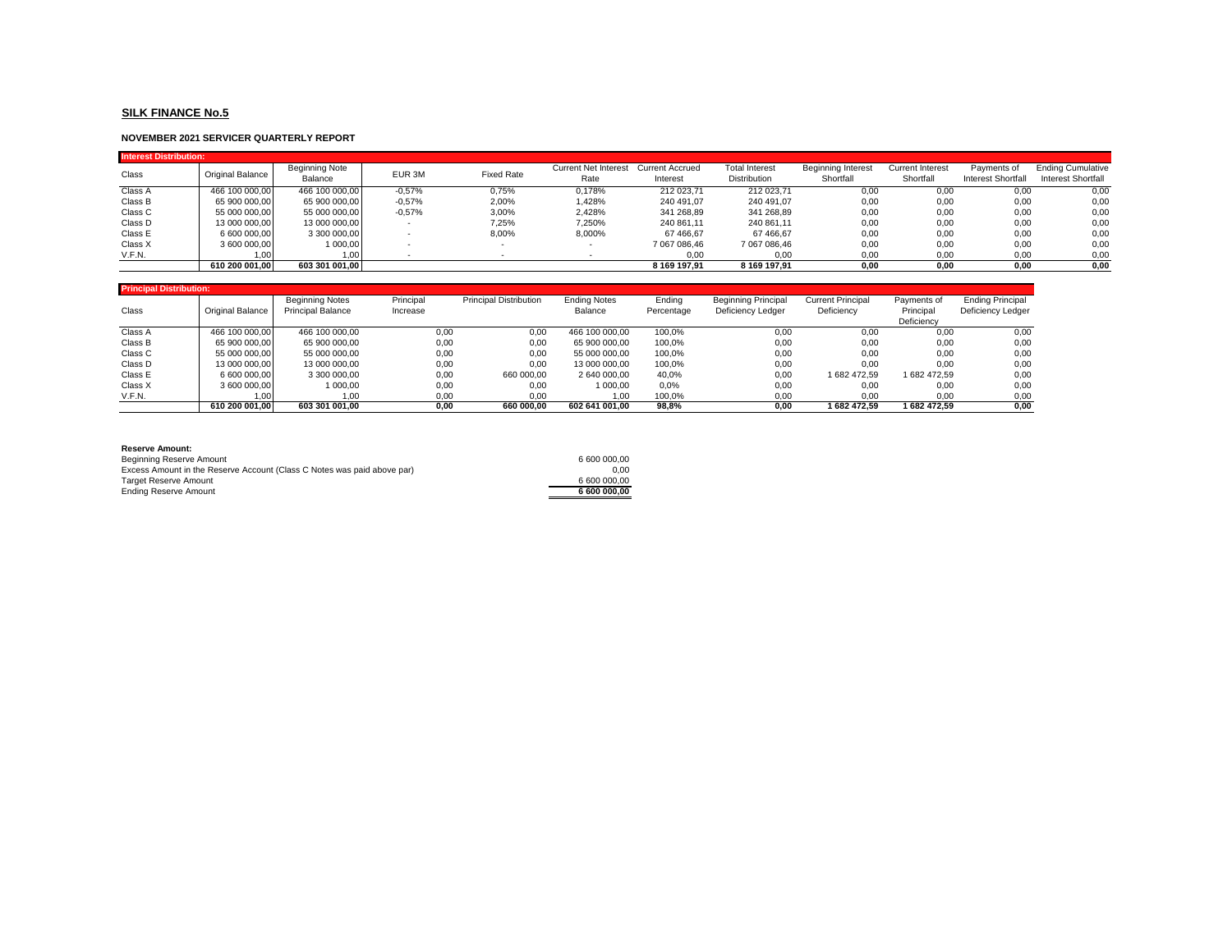### **NOVEMBER 2021 SERVICER QUARTERLY REPORT**

| <b>Interest Distribution:</b> |                  |                                  |          |                   |                              |                                    |                                       |                                        |                                      |                                   |                                                |
|-------------------------------|------------------|----------------------------------|----------|-------------------|------------------------------|------------------------------------|---------------------------------------|----------------------------------------|--------------------------------------|-----------------------------------|------------------------------------------------|
| Class                         | Original Balance | <b>Beginning Note</b><br>Balance | EUR 3M   | <b>Fixed Rate</b> | Current Net Interest<br>Rate | <b>Current Accrued</b><br>Interest | <b>Total Interest</b><br>Distribution | <b>Beginning Interest</b><br>Shortfall | <b>Current Interest</b><br>Shortfall | Payments of<br>Interest Shortfall | <b>Ending Cumulative</b><br>Interest Shortfall |
| Class A                       | 466 100 000,00   | 466 100 000.00                   | $-0.57%$ | 0,75%             | 0.178%                       | 212 023,71                         | 212 023,71                            | 0,00                                   | 0,00                                 | 0,00                              | 0,00                                           |
| Class B                       | 65 900 000.00    | 65 900 000.00                    | $-0.57%$ | 2,00%             | .428%                        | 240 491.07                         | 240 491.07                            | 0,00                                   | 0,00                                 | 0,00                              | 0,00                                           |
| Class C                       | 55 000 000.00    | 55 000 000,00                    | $-0.57%$ | 3,00%             | 2.428%                       | 341 268,89                         | 341 268,89                            | 0,00                                   | 0,00                                 | 0,00                              | 0,00                                           |
| Class D                       | 13 000 000.00    | 13 000 000.00                    |          | 7.25%             | 7.250%                       | 240 861.11                         | 240 861.11                            | 0,00                                   | 0,00                                 | 0,00                              | 0,00                                           |
| Class E                       | 6 600 000,00     | 3 300 000,00                     |          | 8,00%             | 8,000%                       | 67 466.67                          | 67 466.67                             | 0,00                                   | 0,00                                 | 0,00                              | 0,00                                           |
| Class X                       | 3 600 000.00     | 1 000.00                         |          |                   |                              | 7 067 086.46                       | 7 067 086.46                          | 0,00                                   | 0,00                                 | 0,00                              | 0,00                                           |
| V.F.N.                        | .00.             | 1,00                             |          |                   |                              | 0,00                               | 0,00                                  | 0,00                                   | 0,00                                 | 0,00                              | 0,00                                           |
|                               | 610 200 001.00   | 603 301 001.00                   |          |                   |                              | 8 169 197.91                       | 8 169 197.91                          | 0,00                                   | 0,00                                 | 0,00                              | 0,00                                           |
|                               |                  |                                  |          |                   |                              |                                    |                                       |                                        |                                      |                                   |                                                |

| <b>Principal Distribution:</b> |                         |                          |           |                               |                     |            |                            |                          |              |                         |  |  |  |
|--------------------------------|-------------------------|--------------------------|-----------|-------------------------------|---------------------|------------|----------------------------|--------------------------|--------------|-------------------------|--|--|--|
|                                |                         | <b>Beginning Notes</b>   | Principal | <b>Principal Distribution</b> | <b>Ending Notes</b> | Ending     | <b>Beginning Principal</b> | <b>Current Principal</b> | Payments of  | <b>Ending Principal</b> |  |  |  |
| Class                          | <b>Original Balance</b> | <b>Principal Balance</b> | Increase  |                               | Balance             | Percentage | Deficiency Ledger          | Deficiency               | Principal    | Deficiency Ledger       |  |  |  |
|                                |                         |                          |           |                               |                     |            |                            |                          | Deficiency   |                         |  |  |  |
| Class A                        | 466 100 000.00          | 466 100 000.00           | 0.00      | 0.00                          | 466 100 000,00      | 100.0%     | 0.00                       | 0.00                     | 0.00         | 0,00                    |  |  |  |
| Class B                        | 65 900 000,00           | 65 900 000.00            | 0.00      | 0.00                          | 65 900 000.00       | 100.0%     | 0,00                       | 0.00                     | 0.00         | 0,00                    |  |  |  |
| Class C                        | 55 000 000,00           | 55 000 000.00            | 0,00      | 0.00                          | 55 000 000.00       | 100.0%     | 0,00                       | 0.00                     | 0,00         | 0,00                    |  |  |  |
| Class D                        | 13 000 000.00           | 13 000 000.00            | 0,00      | 0.00                          | 13 000 000.00       | 100.0%     | 0.00                       | 0.00                     | 0.00         | 0,00                    |  |  |  |
| Class E                        | 6 600 000,00            | 3 300 000.00             | 0,00      | 660 000.00                    | 2 640 000.00        | 40.0%      | 0,00                       | 1682 472.59              | 1 682 472.59 | 0,00                    |  |  |  |
| Class X                        | 3 600 000,00            | 1 000.00                 | 0,00      | 0,00                          | 1 000.00            | 0,0%       | 0,00                       | 0.00                     | 0.00         | 0,00                    |  |  |  |
| V.F.N.                         | 1.00                    | 1.00                     | 0,00      | 0.00                          | 1.00                | 100.0%     | 0,00                       | 0.00                     | 0.00         | 0,00                    |  |  |  |
|                                | 610 200 001.00          | 603 301 001.00           | 0.00      | 660 000.00                    | 602 641 001.00      | 98,8%      | 0.00                       | 1 682 472.59             | 1 682 472.59 | 0,00                    |  |  |  |

| <b>Reserve Amount:</b>                                                  |              |
|-------------------------------------------------------------------------|--------------|
| Beginning Reserve Amount                                                | 6 600 000,00 |
| Excess Amount in the Reserve Account (Class C Notes was paid above par) | 0.00         |
| <b>Target Reserve Amount</b>                                            | 6 600 000,00 |
| Ending Reserve Amount                                                   | 6 600 000.00 |
|                                                                         |              |

| 6 600 000.00 |  |
|--------------|--|
| 0.00         |  |
| 6 600 000.00 |  |
| 6 600 000.00 |  |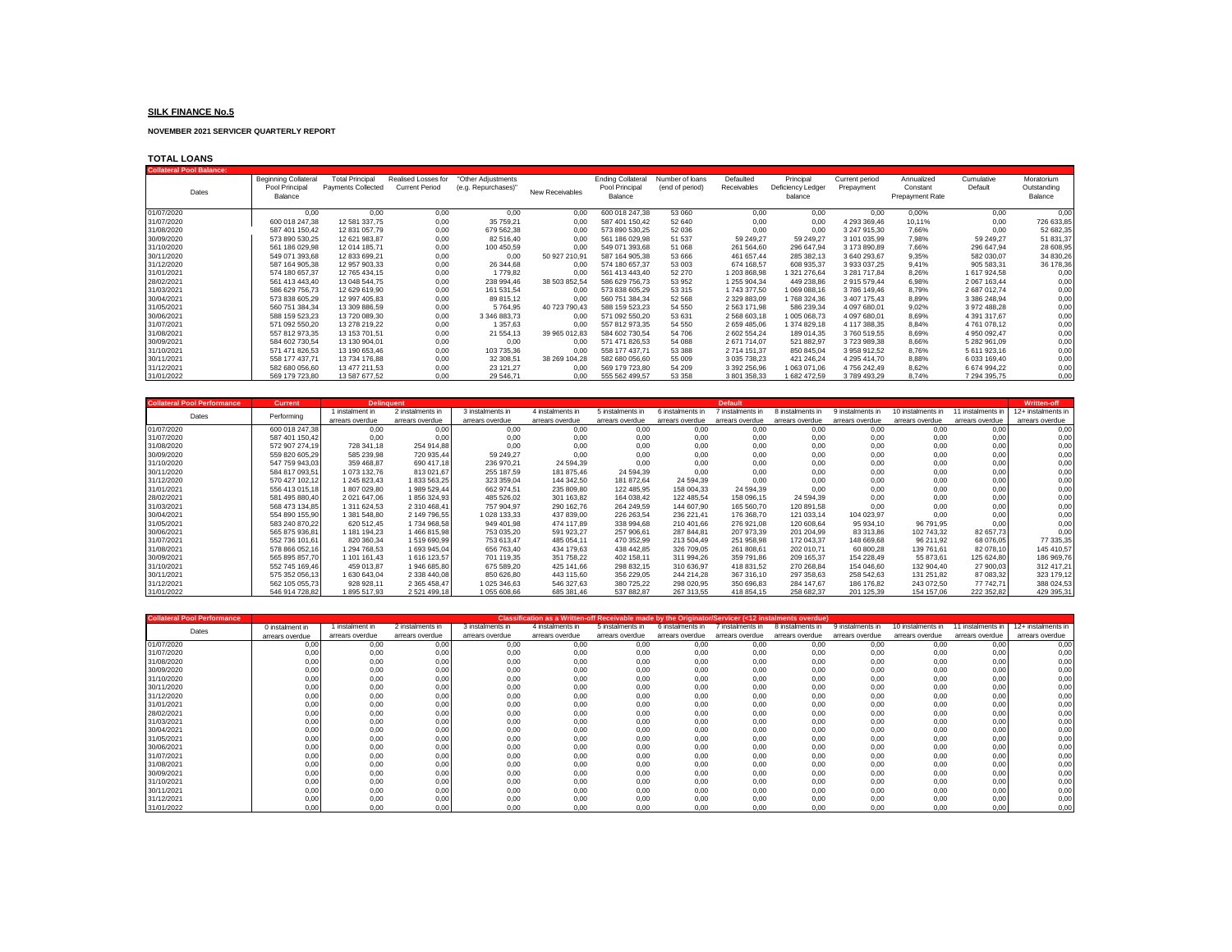**NOVEMBER 2021 SERVICER QUARTERLY REPORT**

### **TOTAL LOANS**

| <b>Collateral Pool Balance:</b> |                             |                           |                       |                     |                 |                          |                 |                     |                   |                |                 |              |             |
|---------------------------------|-----------------------------|---------------------------|-----------------------|---------------------|-----------------|--------------------------|-----------------|---------------------|-------------------|----------------|-----------------|--------------|-------------|
|                                 | <b>Beginning Collateral</b> | <b>Total Principal</b>    | Realised Losses for   | "Other Adjustments  |                 | <b>Ending Collateral</b> | Number of loans | Defaulted           | Principal         | Current period | Annualized      | Cumulative   | Moratorium  |
| Dates                           | Pool Principal              | <b>Payments Collected</b> | <b>Current Period</b> | (e.g. Repurchases)" | New Receivables | Pool Principal           | (end of period) | Receivables         | Deficiency Ledger | Prepayment     | Constant        | Default      | Outstanding |
|                                 | Balance                     |                           |                       |                     |                 | Balance                  |                 |                     | balance           |                | Prepayment Rate |              | Balance     |
|                                 |                             |                           |                       |                     |                 |                          |                 |                     |                   |                |                 |              |             |
| 01/07/2020                      | 0.00                        | 0.00                      | 0,00                  | 0,00                | 0.00            | 600 018 247.38           | 53 060          | 0.00                | 0,00              | 0.00           | 0,00%           | 0,00         | 0.00        |
| 31/07/2020                      | 600 018 247.38              | 12 581 337.75             | 0,00                  | 35 759.21           | 0.00            | 587 401 150,42           | 52 640          | 0.00                | 0.00              | 4 293 369.46   | 10,11%          | 0,00         | 726 633,85  |
| 31/08/2020                      | 587 401 150.42              | 12 831 057,79             | 0,00                  | 679 562,38          | 0.00            | 573 890 530,25           | 52 036          | 0,00                | 0.00              | 3 247 915,30   | 7,66%           | 0,00         | 52 682,35   |
| 30/09/2020                      | 573 890 530.25              | 12 621 983.87             | 0,00                  | 82 516,40           | 0.00            | 561 186 029,98           | 51 537          | 59 249.27           | 59 249,27         | 3 101 035.99   | 7.98%           | 59 249,27    | 51 831,37   |
| 31/10/2020                      | 561 186 029.98              | 12 014 185.71             | 0,00                  | 100 450,59          | 0.00            | 549 071 393,68           | 51 068          | 261 564,60          | 296 647,94        | 3 173 890.89   | 7,66%           | 296 647,94   | 28 608,95   |
| 30/11/2020                      | 549 071 393.68              | 12 833 699.21             | 0,00                  | 0,00                | 50 927 210,91   | 587 164 905.38           | 53 666          | 461 657.44          | 285 382,13        | 3 640 293.67   | 9,35%           | 582 030.07   | 34 830,26   |
| 31/12/2020                      | 587 164 905.38              | 12 957 903.33             | 0,00                  | 26 344,68           | 0.00            | 574 180 657,37           | 53 003          | 674 168.57          | 608 935,37        | 3 933 037.25   | 9,41%           | 905 583.31   | 36 178,36   |
| 31/01/2021                      | 574 180 657.37              | 12 765 434.15             | 0,00                  | 1779,82             | 0.00            | 561 413 443.40           | 52 270          | 1203868.98          | 321 276.64        | 3 281 717.84   | 8,26%           | 1 617 924.58 | 0,00        |
| 28/02/2021                      | 561 413 443.40              | 13 048 544.75             | 0,00                  | 238 994.46          | 38 503 852,54   | 586 629 756.73           | 53 952          | 1 255 904.34        | 449 238.86        | 2915579.44     | 6,98%           | 2 067 163.44 | 0,00        |
| 31/03/2021                      | 586 629 756.73              | 12 629 619.90             | 0,00                  | 161 531,54          | 0.00            | 573 838 605,29           | 53 315          | 1743377.50          | 1069088,16        | 3786 149.46    | 8,79%           | 2 687 012,74 | 0,00        |
| 30/04/2021                      | 573 838 605,29              | 12 997 405.83             | 0,00                  | 89 815,12           | 0.00            | 560 751 384.34           | 52 568          | 2 329 883.09        | 1768 324,36       | 3 407 175.43   | 8,89%           | 3 386 248,94 | 0,00        |
| 31/05/2021                      | 560 751 384.34              | 13 309 886.59             | 0,00                  | 5764,95             | 40 723 790.43   | 588 159 523.23           | 54 550          | 2563171.98          | 586 239.34        | 4 097 680.01   | 9,02%           | 3 972 488.28 | 0,00        |
| 30/06/2021                      | 588 159 523.23              | 13 720 089.30             | 0,00                  | 3 346 883.73        | 0.00            | 571 092 550.20           | 53 631          | 2568603.18          | 1005 068.73       | 4 097 680.01   | 8,69%           | 4 391 317.67 | 0,00        |
| 31/07/2021                      | 571 092 550,20              | 13 278 219,22             | 0,00                  | 1 357,63            | 0.00            | 557 812 973,35           | 54 550          | 2 659 485,06        | 1374 829,18       | 4 117 388,35   | 8,84%           | 4761078,12   | 0,00        |
| 31/08/2021                      | 557 812 973.35              | 13 153 701.51             | 0,00                  | 21 554,13           | 39 965 012,83   | 584 602 730.54           | 54 706          | 2602554.24          | 189 014,35        | 3760 519.55    | 8,69%           | 4 950 092,47 | 0,00        |
| 30/09/2021                      | 584 602 730.54              | 13 130 904.01             | 0,00                  | 0,00                | 0.00            | 571 471 826.53           | 54 088          | 2671714.07          | 521 882,97        | 3723989.38     | 8,66%           | 5 282 961,09 | 0,00        |
| 31/10/2021                      | 571 471 826.53              | 13 190 653.46             | 0,00                  | 103 735,36          | 0.00            | 558 177 437.71           | 53 388          | 2714 151.37         | 850 845,04        | 3 958 912.52   | 8,76%           | 5 611 923,16 | 0,00        |
| 30/11/2021                      | 558 177 437.71              | 13 734 176.88             | 0,00                  | 32 308,51           | 38 269 104.28   | 582 680 056.60           | 55 009          | 3 0 3 5 7 3 8 . 2 3 | 421 246.24        | 4 295 414.70   | 8,88%           | 6 033 169.40 | 0,00        |
| 31/12/2021                      | 582 680 056.60              | 13 477 211.53             | 0,00                  | 23 121,27           | 0.00            | 569 179 723,80           | 54 209          | 3 392 256.96        | 1063071.06        | 4756242.49     | 8,62%           | 6 674 994.22 | 0,00        |
| 31/01/2022                      | 569 179 723.80              | 13 587 677.52             | 0.00                  | 29 546.71           | 0.00            | 555 562 499.57           | 53 358          | 3801358.33          | 1682 472.59       | 3789493.29     | 8.74%           | 7 294 395.75 | 0,00        |

| <b>Collateral Pool Performance</b> | <b>Current</b> | <b>Delinquent</b> |                  |                  |                  |                 |                  | <b>Default</b>  |                  |                  |                   |                  | <b>Written-off</b> |
|------------------------------------|----------------|-------------------|------------------|------------------|------------------|-----------------|------------------|-----------------|------------------|------------------|-------------------|------------------|--------------------|
| Dates                              | Performing     | 1 instalment in   | 2 instalments in | 3 instalments in | 4 instalments in | 5 instalments i | 6 instalments in | instalments in  | 8 instalments in | 9 instalments in | 10 instalments in | 1 instalments in | 12+ instalments in |
|                                    |                | arrears overdue   | arrears overdue  | arrears overdue  | arrears overdue  | arrears overdue | arrears overdue  | arrears overdue | arrears overdue  | arrears overdue  | arrears overdue   | arrears overdue  | arrears overdue    |
| 01/07/2020                         | 600 018 247.38 | 0.00              | 0,00             | 0,00             | 0.00             | 0,00            | 0.00             | 0.00            | 0,00             | 0.00             | 0,00              | 0,00             | 0,00               |
| 31/07/2020                         | 587 401 150.42 | 0,00              | 0,00             | 0,00             | 0,00             | 0,00            | 0.00             | 0.00            | 0,00             | 0.00             | 0,00              | 0,00             | 0,00               |
| 31/08/2020                         | 572 907 274.19 | 728 341,18        | 254 914.88       | 0,00             | 0,00             | 0,00            | 0.00             | 0.00            | 0,00             | 0.00             | 0,00              | 0,00             | 0,00               |
| 30/09/2020                         | 559 820 605,29 | 585 239.98        | 720 935,44       | 59 249,27        | 0,00             | 0,00            | 0,00             | 0,00            | 0,00             | 0,00             | 0,00              | 0,00             | 0,00               |
| 31/10/2020                         | 547 759 943,03 | 359 468,87        | 690 417,18       | 236 970,21       | 24 594,39        | 0,00            | 0,00             | 0,00            | 0,00             | 0,00             | 0,00              | 0,00             | 0,00               |
| 30/11/2020                         | 584 817 093,51 | 1 073 132,76      | 813 021,67       | 255 187,59       | 181 875,46       | 24 594,39       | 0.00             | 0.00            | 0,00             | 0,00             | 0,00              | 0,00             | 0,00               |
| 31/12/2020                         | 570 427 102,12 | 1 245 823,43      | 1833 563,25      | 323 359,04       | 144 342,50       | 181 872,64      | 24 594,39        | 0,00            | 0,00             | 0,00             | 0,00              | 0,00             | 0,00               |
| 31/01/2021                         | 556 413 015.18 | 1807029.80        | 1989 529.44      | 662 974.51       | 235 809.80       | 122 485.95      | 158 004.33       | 24 594.39       | 0.00             | 0.00             | 0,00              | 0,00             | 0,00               |
| 28/02/2021                         | 581 495 880,40 | 2 021 647,06      | 1856324,93       | 485 526,02       | 301 163,82       | 164 038,42      | 122 485,54       | 158 096,15      | 24 594,39        | 0,00             | 0,00              | 0,00             | 0,00               |
| 31/03/2021                         | 568 473 134.85 | 1 311 624.53      | 2 310 468.41     | 757 904.97       | 290 162,76       | 264 249,59      | 144 607.90       | 165 560,70      | 120 891.58       | 0.00             | 0,00              | 0,00             | 0,00               |
| 30/04/2021                         | 554 890 155,90 | 1 381 548.80      | 2 149 796.55     | 1 028 133.33     | 437 839.00       | 226 263,54      | 236 221.41       | 176 368.70      | 121 033.14       | 104 023.97       | 0,00              | 0,00             | 0,00               |
| 31/05/2021                         | 583 240 870,22 | 620 512,45        | 1734 968.58      | 949 401,98       | 474 117.89       | 338 994,68      | 210 401,66       | 276 921.08      | 120 608.64       | 95 934,10        | 96 791,95         | 0,00             | 0,00               |
| 30/06/2021                         | 565 875 936.81 | 1 181 194.23      | 1466815.98       | 753 035,20       | 591 923.27       | 257 906,61      | 287 844.81       | 207 973.39      | 201 204.99       | 83 313.86        | 102 743.32        | 82 657,73        | 0.00               |
| 31/07/2021                         | 552 736 101.61 | 820 360.34        | 1519690,99       | 753 613.47       | 485 054.11       | 470 352,99      | 213 504.49       | 251 958,98      | 172 043.37       | 148 669,68       | 96 211,92         | 68 076,05        | 77 335,35          |
| 31/08/2021                         | 578 866 052,16 | 1 294 768.53      | 1 693 945.04     | 656 763,40       | 434 179,63       | 438 442.85      | 326 709,05       | 261 808,61      | 202 010.71       | 60 800,28        | 139 761,61        | 82 078,10        | 145 410,57         |
| 30/09/2021                         | 565 895 857,70 | 1 101 161.43      | 1 616 123,57     | 701 119,35       | 351 758,22       | 402 158,11      | 311 994.26       | 359 791,86      | 209 165.37       | 154 228.49       | 55 873,61         | 125 624,80       | 186 969,76         |
| 31/10/2021                         | 552 745 169.46 | 459 013.87        | 1946 685,80      | 675 589,20       | 425 141.66       | 298 832,15      | 310 636.97       | 418 831,52      | 270 268,84       | 154 046,60       | 132 904,40        | 27 900,03        | 312 417,21         |
| 30/11/2021                         | 575 352 056,13 | 1 630 643,04      | 2 338 440,08     | 850 626,80       | 443 115,60       | 356 229,05      | 244 214.28       | 367 316,10      | 297 358,63       | 258 542,63       | 131 251,82        | 87 083,32        | 323 179,12         |
| 31/12/2021                         | 562 105 055.73 | 928 928.11        | 2 365 458.47     | 1 025 346.63     | 546 327.63       | 380 725.22      | 298 020,95       | 350 696,83      | 284 147.67       | 186 176.82       | 243 072.50        | 77 742.71        | 388 024,53         |
| 31/01/2022                         | 546 914 728,82 | 1895 517.93       | 2 521 499,18     | 1 055 608,66     | 685 381,46       | 537 882,87      | 267 313,55       | 418 854,15      | 258 682,37       | 201 125,39       | 154 157,06        | 222 352,82       | 429 395,31         |

| <b>Collateral Pool Performance</b> |                 |                 |                  |                  | Classification as a Written-off Receivable made by the Originator/Servicer (<12 instalments overdue) |                  |                  |                  |                  |                  |                   |                   |                    |
|------------------------------------|-----------------|-----------------|------------------|------------------|------------------------------------------------------------------------------------------------------|------------------|------------------|------------------|------------------|------------------|-------------------|-------------------|--------------------|
| Dates                              | 0 instalment in | 1 instalment in | 2 instalments in | 3 instalments in | 4 instalments in                                                                                     | 5 instalments in | 6 instalments in | 7 instalments in | 8 instalments in | 9 instalments in | 10 instalments in | 11 instalments in | 12+ instalments in |
|                                    | arrears overdue | arrears overdue | arrears overdue  | arrears overdue  | arrears overdue                                                                                      | arrears overdue  | arrears overdue  | arrears overdue  | arrears overdue  | arrears overdue  | arrears overdue   | arrears overdue   | arrears overdue    |
| 01/07/2020                         | 0,00            | 0,00            | 0,00             | 0,00             | 0,00                                                                                                 | 0,00             | 0,00             | 0,00             | 0,00             | 0,00             | 0,00              | 0,00              | 0,00               |
| 31/07/2020                         | 0,00            | 0,00            | 0,00             | 0,00             | 0,00                                                                                                 | 0,00             | 0,00             | 0.00             | 0,00             | 0,00             | 0,00              | 0,00              | 0,00               |
| 31/08/2020                         | 0,00            | 0,00            | 0,00             | 0,00             | 0,00                                                                                                 | 0,00             | 0.00             | 0.00             | 0,00             | 0,00             | 0,00              | 0,00              | 0,00               |
| 30/09/2020                         | 0,00            | 0,00            | 0,00             | 0,00             | 0,00                                                                                                 | 0,00             | 0,00             | 0,00             | 0,00             | 0,00             | 0,00              | 0,00              | 0,00               |
| 31/10/2020                         | 0,00            | 0,00            | 0,00             | 0,00             | 0,00                                                                                                 | 0,00             | 0.00             | 0,00             | 0,00             | 0.00             | 0,00              | 0,00              | 0,00               |
| 30/11/2020                         | 0,00            | 0,00            | 0,00             | 0,00             | 0,00                                                                                                 | 0,00             | 0,00             | 0.00             | 0,00             | 0,00             | 0,00              | 0,00              | 0,00               |
| 31/12/2020                         | 0,00            | 0,00            | 0,00             | 0,00             | 0,00                                                                                                 | 0,00             | 0,00             | 0,00             | 0,00             | 0,00             | 0,00              | 0,00              | 0,00               |
| 31/01/2021                         | 0,00            | 0,00            | 0,00             | 0,00             | 0,00                                                                                                 | 0,00             | 0,00             | 0,00             | 0,00             | 0,00             | 0,00              | 0,00              | 0,00               |
| 28/02/2021                         | 0,00            | 0,00            | 0,00             | 0,00             | 0,00                                                                                                 | 0,00             | 0,00             | 0,00             | 0,00             | 0,00             | 0,00              | 0,00              | 0,00               |
| 31/03/2021                         | 0,00            | 0,00            | 0,00             | 0,00             | 0,00                                                                                                 | 0,00             | 0,00             | 0,00             | 0,00             | 0,00             | 0,00              | 0,00              | 0,00               |
| 30/04/2021                         | 0,00            | 0,00            | 0,00             | 0,00             | 0,00                                                                                                 | 0,00             | 0,00             | 0,00             | 0,00             | 0,00             | 0,00              | 0,00              | 0,00               |
| 31/05/2021                         | 0,00            | 0,00            | 0,00             | 0,00             | 0,00                                                                                                 | 0,00             | 0,00             | 0,00             | 0,00             | 0,00             | 0,00              | 0,00              | 0,00               |
| 30/06/2021                         | 0,00            | 0,00            | 0,00             | 0,00             | 0,00                                                                                                 | 0,00             | 0,00             | 0.00             | 0,00             | 0,00             | 0,00              | 0,00              | 0,00               |
| 31/07/2021                         | 0,00            | 0,00            | 0,00             | 0,00             | 0,00                                                                                                 | 0,00             | 0,00             | 0,00             | 0,00             | 0,00             | 0,00              | 0,00              | 0,00               |
| 31/08/2021                         | 0,00            | 0,00            | 0,00             | 0,00             | 0,00                                                                                                 | 0,00             | 0,00             | 0,00             | 0,00             | 0,00             | 0,00              | 0,00              | 0,00               |
| 30/09/2021                         | 0,00            | 0,00            | 0,00             | 0,00             | 0,00                                                                                                 | 0,00             | 0,00             | 0,00             | 0,00             | 0,00             | 0,00              | 0,00              | 0,00               |
| 31/10/2021                         | 0,00            | 0,00            | 0,00             | 0,00             | 0,00                                                                                                 | 0,00             | 0,00             | 0,00             | 0,00             | 0,00             | 0,00              | 0,00              | 0,00               |
| 30/11/2021                         | 0,00            | 0,00            | 0,00             | 0,00             | 0,00                                                                                                 | 0,00             | 0,00             | 0,00             | 0,00             | 0,00             | 0,00              | 0,00              | 0,00               |
| 31/12/2021                         | 0,00            | 0,00            | 0,00             | 0,00             | 0,00                                                                                                 | 0,00             | 0,00             | 0,00             | 0,00             | 0,00             | 0,00              | 0,00              | 0,00               |
| 31/01/2022                         | 0.00            | 0.00            | 0.00             | 0.00             | 0.00                                                                                                 | 0.00             | 0.00             | 0.00             | 0.00             | 0.00             | 0.00              | 0.00              | 0,00               |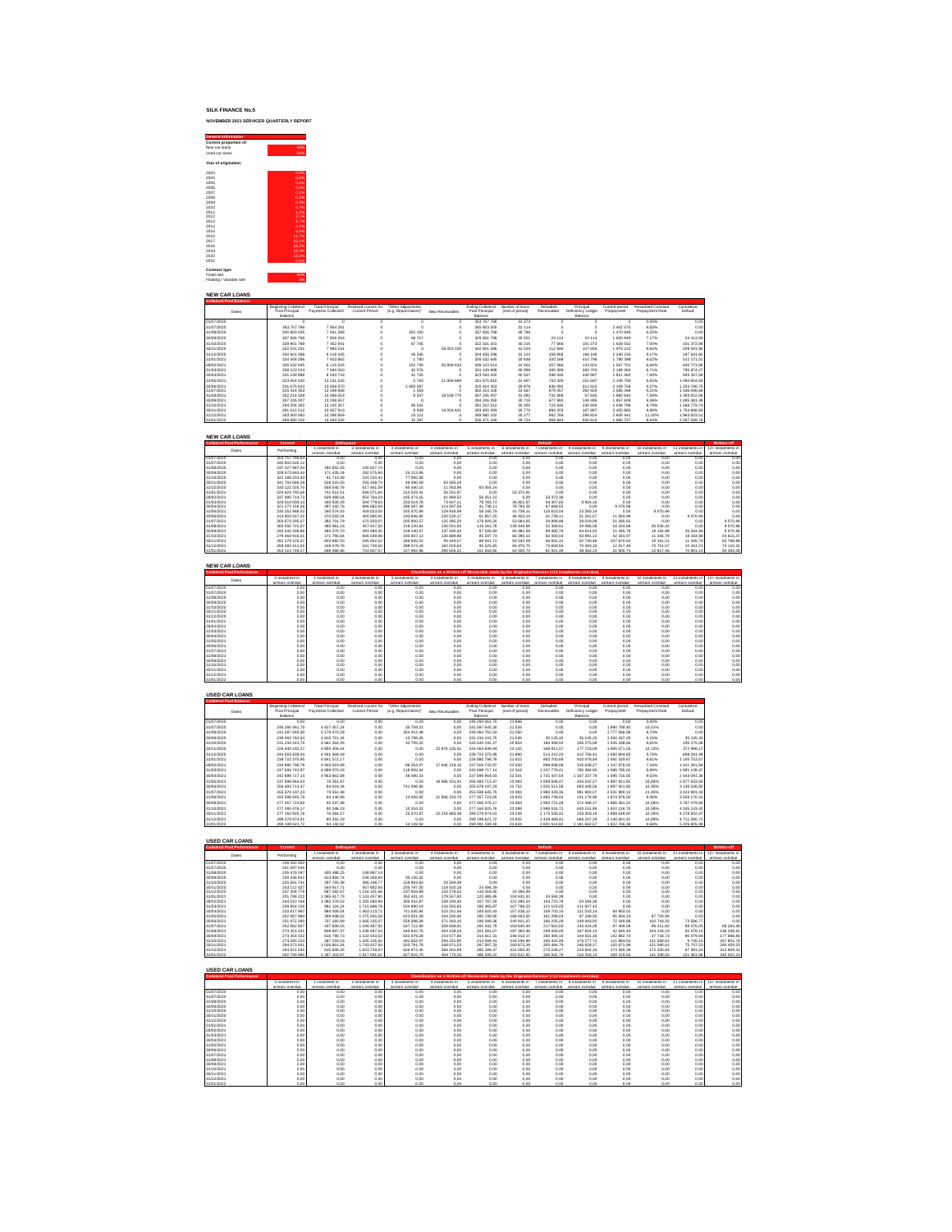# **SILK FINANCE No.5 NOVEMBER 2021 SERVICER QUARTERLY REPORT**



| <b>NEW CAR LOANS</b>            |                            |                        |                     |                     |                 |                   |                 |             |                   |                |                     |              |
|---------------------------------|----------------------------|------------------------|---------------------|---------------------|-----------------|-------------------|-----------------|-------------|-------------------|----------------|---------------------|--------------|
| <b>Collateral Pool Balance:</b> |                            |                        |                     |                     |                 |                   |                 |             |                   |                |                     |              |
|                                 | Beginning Collateral       | <b>Total Principal</b> | Realised Losses for | "Other Adjustments  |                 | Ending Collateral | Number of loans | Defaulted   | Principal         | Current period | Annualized Constant | Cumulative   |
| Dates                           | Pool Principal             | Payments Collected     | Current Period      | (e.g. Repurchases)* | New Receivables | Pool Principal    | (end of period) | Receivables | Deficiency Ledger | Prepayment     | Prepayment Rate     | Default      |
|                                 | Rabore                     |                        |                     |                     |                 | Balance           |                 |             | Ralance           |                |                     |              |
| 01/07/2020                      |                            |                        |                     | $\sim$              | $\Omega$        | 353 757 786       | 31 374          | $\Omega$    |                   | n              | 0.00%               | 0.00         |
| 31/07/2020                      | 353 757 786                | 7954281                |                     | $\Omega$            | $\Omega$        | 345 803 505       | 31 114          | $\alpha$    |                   | 2 402 570      | 9.83%               | 0.00         |
| 31/08/2020                      | 345 803 505                | 7 651 588              |                     | 325 150             | $\Omega$        | 337 826 768       | 30 786          | $\alpha$    |                   | 1470 849       | 6.25%               | 0.00         |
| 30/09/2020                      | 337 826 768                | 7 806 263              |                     | 68 717              | $\Omega$        | 329 951 788       | 30 501          | 24 114      | 24 114            | 1 650 849      | 7.17%               | 24 113.95    |
| 31/10/2020                      | 329 951 788                | 7 3 5 2 8 4 1          |                     | 67 745              | $\Omega$        | 322 531 201       | 30 215          | 77 066      | 101 373           | 1 628 552      | 7.00%               | 101 372.86   |
| 30/11/2020                      | 322 531 201                | 7983241                |                     | $\Omega$            | 28 053 105      | 342 601 066       | 31 524          | 112 846     | 107 659           | 1975 223       | 8.82%               | 209 031.90   |
| 31/12/2020                      | 342 601 066                | 8 116 435              |                     | 26 345              | $\Omega$        | 334 458 286       | 31 123          | 159 958     | 196 169           | 2 240 233      | 9.17%               | 297 541.82   |
| 31/01/2021                      | 334 458 286                | 7923862                |                     | 1780                | $\Omega$        | 326 532 645       | 30 648          | 320 168     | 410 798           | 1790 398       | 8.02%               | 512 171.01   |
| 28/02/2021                      | 326 532 645                | 8 115 525              |                     | 152 739             | 20 858 633      | 339 123 014       | 31 402          | 357 066     | 133 601           | 1 567 701      | 6.66%               | 645 771.60   |
| 31/03/2021                      | 339 123 014                | 7 940 550              |                     | 42 576              |                 | 331 139 888       | 30 999          | 495 599     | 283 703           | 2 199 364      | 8.71%               | 795 874.27   |
| 30/04/2021                      | 331 139 888                | 8 043 743              |                     | 41725               |                 | 323 054 420       | 30 537          | 598 435     | 430 987           | 1811460        | 7.94%               | 943 157.58   |
| 31/05/2021                      | 323 054 420                | 13 231 535             |                     | 5765                | 21858689        | 331 675 810       | 31 467          | 703 326     | 151 697           | 2 109 758      | 9.55%               | 1094 854.65  |
| 30/06/2021                      | 331 675 810                | 13 656 070             |                     | 2 605 387           |                 | 315 414 353       | 30 879          | 636 092     | 311 623           | 2 109 758      | 9.27%               | 1 254 780.75 |
| 31/07/2021                      | 315 414 353                | 13 198 668             |                     | 1 3 5 8             |                 | 302 214 328       | 31 467          | 679 057     | 392 929           | 2 085 398      | 9.21%               | 1 336 086.69 |
| 31/08/2021                      | 302 214 328                | 13 069 553             |                     | 8 5 4 7             | 18 108 779      | 307 245 007       | 31 081          | 741 806     | 57835             | 1885 644       | 7.59%               | 1 393 922.06 |
| 30/09/2021                      | 307 245 007                | 13 038 657             |                     | $\Omega$            | $\Omega$        | 294 206 350       | 30 719          | 677 993     | 149 395           | 1857608        | 8.46%               | 1485 481.49  |
| 31/10/2021                      | 294 206 350                | 13 100 307             |                     | 93 531              |                 | 281 012 512       | 30 300          | 724 635     | 230 693           | 2 048 796      | 8.79%               | 1566 779.74  |
| 30/11/2021                      | 281 012 512                | 13 657 913             |                     | 8938                | 16 054 421      | 283 400 083       | 30 770          | 860 203     | 187 887           | 2 405 865      | 9.98%               | 1754 666.83  |
| 31/12/2021                      | 283 400 083<br>269 980 102 | 13 396 859             |                     | 23 1 21             |                 | 269 980 102       | 30 277          | 962 769     | 396 824           | 2 609 441      | 11.50%              | 1963 603.51  |
| 31/01/2022                      |                            | 13 493 545             |                     | 15 3 9 7            |                 | 256 471 160       | 29 7 24         | 969 844     | 500 810           | 1966727        | 8.64%               | 2067 589.76  |

| <b>NEW CAR LOANS</b>               |                |                   |                  |                  |                  |                  |                 |                 |                  |                         |                   |                  |                    |
|------------------------------------|----------------|-------------------|------------------|------------------|------------------|------------------|-----------------|-----------------|------------------|-------------------------|-------------------|------------------|--------------------|
| <b>Collateral Pool Performance</b> | Current        | <b>Delinquent</b> |                  |                  |                  |                  |                 | Default         |                  |                         |                   |                  | Written-off        |
| Dates                              | Performing     | I instalment in   | 2 instalments in | 3 instalments in | 4 instalments in | 5 instalments in | 6 instalments   | instalments in  | 8 instalments in | <b>Q</b> instalments in | 10 instalments in | 11 instalments i | 12+ instalments in |
|                                    |                | arrears cuerdie   | arrears overdue  | arrears overdue  | arrears overdue  | arrears overdue  | arrears overdue | arrears overdue | arrears overdue  | arrears overdue         | arrears overdue   | arrears overdue  | arrears overdue    |
| 01/07/2020                         | 353 757 785.63 | 0.00              | 0.00             | 0.00             | 0.00             | 0.00             | 0.00            | 0.00            | 0.00             | 0.00                    | 0.00              | 0.00             | 0.00               |
| 31/07/2020                         | 345 803 505.12 | 0.00              | 0.00             | 0.00             | 0.00             | 0.00             | 0.00            | 0.00            | 0.00             | 0.00                    | 0.00              | 0.00             | 0.00               |
| 31/08/2020                         | 337 427 987.04 | 292 852.93        | 105 927.74       | 0.00             | 0.00             | 0.00             | 0.00            | 0.00            | 0.00             | 0.00                    | 0.00              | 0.00             | 0.00               |
| 30/09/2020                         | 329 573 663.44 | 171 435.24        | 182 575.60       | 24 113.95        | 0.00             | 0.00             | 0.00            | 0.00            | 0.00             | 0.00                    | 0.00              | 0.00             | 0,00               |
| 31/10/2020                         | 322 168 201.93 | 61 713.49         | 224 220.41       | 77 065.58        | 0.00             | 0.00             | 0.00            | 0.00            | 0.00             | 0.00                    | 0.00              | 0.00             | 0.00               |
| 30/11/2020                         | 341 704 666.28 | 528 215.05        | 255 338.74       | 49 390.59        | 63 455 28        | 0.00             | 0.00            | 0.00            | 0.00             | 0.00                    | 0.00              | 0.00             | 0.00               |
| 31/12/2020                         | 333 122 325.70 | 558 540.76        | 617 461.59       | 85 440.15        | 11 063.98        | 63 454 24        | 0.00            | 0.00            | 0.00             | 0.00                    | 0.00              | 0.00             | 0,00               |
| 31/01/2021                         | 324 624 792 68 | 741 612.01        | 846 071.64       | 210 543.41       | 56 251.97        | 0.00             | 53 372 91       | 0.00            | 0.00             | 0.00                    | 0.00              | 0.00             | 0.00               |
| 28/02/2021                         | 337 485 714.73 | 629 468.54        | 650 764.24       | 185 473.15       | 61 969.52        | 56 251.22        | 0.00            | 53 372 36       | 0.00             | 0.00                    | 0.00              | 0.00             | 0.00               |
| 31/03/2021                         | 329 619 009 14 | 430 500.29        | 594 779.63       | 253 014.78       | 73 607.11        | 78783.72         | 36 821.67       | 44 407.65       | 8 9 64.16        | 0.00                    | 0.00              | 0.00             | 0,00               |
| 30/04/2021                         | 321 272 159 26 | 497 142.76        | 686 682.84       | 286 587.49       | 114 587.06       | 41 738.11        | 78 78 3.28      | 67 668.55       | 0.00             | 9 0 7 0.96              | 0.00              | 0.00             | 0,00               |
| 31/05/2021                         | 330 252 886.42 | 260 574.43        | 459 023.00       | 325 470.89       | 129 916.99       | 58 245.78        | 41 738.11       | 115 623 04      | 23 260.14        | 0.00                    | 9070.96           | 0.00             | 0.00               |
| 30/06/2021                         | 313 903 547.22 | 474 033 24        | 400 680.91       | 193 646.92       | 220 530.17       | 61857.25         | 46 923 14       | 41 738.11       | 51 261.07        | 11 063.98               | 0.00              | 9 070.96         | 0.00               |
| 31/07/2021                         | 300 673 295.07 | 382 701.79        | 470 203.07       | 205 900.57       | 125 395.20       | 178 920 20       | 53 664.05       | 34 896.98       | 29 019.09        | 51 260.62               | 0.00              | 0.00             | 9 0 7 0 9 6        |
| 31/08/2021                         | 305 550 721.07 | 485 961.16        | 457 447.50       | 216 120.64       | 130 021.60       | 116 161.78       | 139 346.69      | 52 368.61       | 34 086.58        | 18 154.88               | 35 545.42         | 0.00             | 9070.96            |
| 30/09/2021                         | 292 541 435.86 | 484 370.70        | 493 480.05       | 158 140.07       | 137 180.42       | 87 545 80        | 65 981.09       | 99 485.76       | 64 614.02        | 11 345.79               | 18 154.88         | 35 544.96        | 9070.96            |
| 31/10/2021                         | 279 464 916.01 | 171 795.84        | 606 549.98       | 193 937.13       | 130 889.86       | 85 337.74        | 66 39 6.13      | 82 400.03       | 93 991.12        | 42 181.97               | 11 345.79         | 18 154.88        | 44 615.47          |
| 30/11/2021                         | 281 278 125.37 | 603 982.00        | 595 002.52       | 346 835.02       | 94 444.57        | 88 641.72        | 83 542 09       | 66 831.31       | 50 730.46        | 107 670.64              | 10 161.21         | 11 345.79        | 62769.89           |
| 31/12/2021                         | 268 083 411.05 | 318 078.76        | 541 728.50       | 398 374.18       | 162 025.64       | 95 525 85        | 66 970.75       | 75 658.56       | 70 483.33        | 12817.46                | 70 751.57         | 10 161.21        | 74 115 22          |
| 31/01/2022                         | 254 114 749 27 | 598 366.96        | 703 807.57       | 227 992.96       | 280 606.21       | 151 843.65       | 63 500.73       | 81 921.39       | 48 364.23        | 31 905.74               | 12817.46          | 70 891.14        | 84 393.08          |

| <b>NEW CAR LOANS</b>               |                 |                 |                  |                  |                                                                                                      |                  |                  |                  |                  |                  |                   |                 |                    |
|------------------------------------|-----------------|-----------------|------------------|------------------|------------------------------------------------------------------------------------------------------|------------------|------------------|------------------|------------------|------------------|-------------------|-----------------|--------------------|
| <b>Collateral Pool Performance</b> |                 |                 |                  |                  | Classification as a Written-off Receivable made by the Originator/Servicer (<12 instalments overdue) |                  |                  |                  |                  |                  |                   |                 |                    |
| Dates                              | O instalment in | I instalment in | 2 instalments in | 3 instalments in | 4 instalments in                                                                                     | 5 instalments in | 6 instalments in | 7 instalments in | 8 instalments in | 9 instalments in | 10 instalments in | 1 instalments i | 12+ instalments in |
|                                    | arrears overdue | arrears overdue | arrears overdue  | arrears overdue  | arrears overdue                                                                                      | arrears overdue  | arrears overdue  | arrears overdue  | arrears overdue  | arrears overdue  | arrears overdue   | arrears overdue | arrears overdue    |
| 01/07/2020                         | 0.00            | 0.00            | 0.00             | 0.00             | 0.00                                                                                                 | 0.00             | 0.00             | 0.00             | 0.00             | 0.00             | 0.00              | 0.00            | 0.00               |
| 31/07/2020                         | 0.00            | 0.00            | 0.00             | 0.00             | 0.00                                                                                                 | 0.00             | 0.00             | 0.00             | 0.00             | 0.00             | 0.00              | 0.00            | 0.00               |
| 31/08/2020                         | 0.00            | 0.00            | 0.00             | 0.00             | 0.00                                                                                                 | 0.00             | 0.00             | 0.00             | 0.00             | 0.00             | 0.00              | 0.00            | 0.00               |
| 30/09/2020                         | 0.00            | 0.00            | 0,00             | 0.00             | 0.00                                                                                                 | 0.00             | 0.00             | 0.00             | 0.00             | 0.00             | 0.00              | 0.00            | 0,00               |
| 31/10/2020                         | 0.00            | 0.00            | 0.00             | 0.00             | 0.00                                                                                                 | 0.00             | 0.00             | 0.00             | 0.00             | 0.00             | 0.00              | 0.00            | 0.00               |
| 30/11/2020                         | 0.00            | 0.00            | 0.00             | 0.00             | 0.00                                                                                                 | 0.00             | 0.00             | 0.00             | 0.00             | 0.00             | 0.00              | 0.00            | 0.00               |
| 31/12/2020                         | 0.00            | 0.00            | 0.00             | 0.00             | 0.00                                                                                                 | 0.00             | 0.00             | 0.00             | 0.00             | 0.00             | 0.00              | 0.00            | 0.00               |
| 31/01/2021                         | 0.00            | 0.00            | 0.00             | 0.00             | 0.00                                                                                                 | 0.00             | 0.00             | 0.00             | 0.00             | 0.00             | 0.00              | 0.00            | 0.00               |
| 28/02/2021                         | 0.00            | 0.00            | 0.00             | 0.00             | 0.00                                                                                                 | 0.00             | 0.00             | 0.00             | 0.00             | 0.00             | 0.00              | 0.00            | 0.00               |
| 31/03/2021                         | 0.00            | 0.00            | 0.00             | 0.00             | 0.00                                                                                                 | 0.00             | 0.00             | 0.00             | 0.00             | 0.00             | 0.00              | 0.00            | 0.00               |
| 30/04/2021                         | 0.00            | 0.00            | 0,00             | 0.00             | 0.00                                                                                                 | 0.00             | 0.00             | 0.00             | 0.00             | 0.00             | 0.00              | 0.00            | 0.00               |
| 31/05/2021                         | 0.00            | 0.00            | 0.00             | 0.00             | 0.00                                                                                                 | 0.00             | 0.00             | 0.00             | 0.00             | 0.00             | 0.00              | 0.00            | 0.00               |
| 30/06/2021                         | 0.00            | 0.00            | 0.00             | 0.00             | 0.00                                                                                                 | 0.00             | 0.00             | 0.00             | 0.00             | 0.00             | 0.00              | 0.00            | 0.00               |
| 31/07/2021                         | 0.00            | 0.00            | 0.00             | 0.00             | 0.00                                                                                                 | 0.00             | 0.00             | 0.00             | 0.00             | 0.00             | 0.00              | 0.00            | 0.00               |
| 31/08/2021                         | 0.00            | 0.00            | 0.00             | 0.00             | 0.00                                                                                                 | 0.00             | 0.00             | 0.00             | 0.00             | 0.00             | 0.00              | 0.00            | 0.00               |
| 30/09/2021                         | 0.00            | 0.00            | 0.00             | 0.00             | 0.00                                                                                                 | 0.00             | 0.00             | 0.00             | 0.00             | 0.00             | 0.00              | 0.00            | 0.00               |
| 31/10/2021                         | 0.00            | 0.00            | 0,00             | 0.00             | 0.00                                                                                                 | 0.00             | 0.00             | 0.00             | 0.00             | 0.00             | 0.00              | 0.00            | 0.00               |
| 30/11/2021                         | 0.00            | 0.00            | 0.00             | 0.00             | 0.00                                                                                                 | 0.00             | 0.00             | 0.00             | 0.00             | 0.00             | 0.00              | 0.00            | 0.00               |
| 31/12/2021                         | 0.00            | 0.00            | 0.00             | 0.00             | 0.00                                                                                                 | 0.00             | 0.00             | 0.00             | 0.00             | 0.00             | 0.00              | 0.00            | 0.00               |
| 31/01/2022                         | 0.00            | 0.00            | 0.00             | 0.00             | 0.00                                                                                                 | 0.00             | 0.00             | 0.00             | 0.00             | 0.00             | 0.00              | 0.00            | 0.00               |

| <b>USED CAR LOANS</b><br><b>Collateral Pool Balance:</b> |                                                   |                                              |                                       |                                           |                 |                                                |                                    |                          |                                           |                              |                                        |                       |
|----------------------------------------------------------|---------------------------------------------------|----------------------------------------------|---------------------------------------|-------------------------------------------|-----------------|------------------------------------------------|------------------------------------|--------------------------|-------------------------------------------|------------------------------|----------------------------------------|-----------------------|
| Dates                                                    | Beginning Collateral<br>Pool Principal<br>Balance | <b>Total Principal</b><br>Payments Collected | Realised Losses for<br>Current Period | "Other Adjustments<br>(e.g. Repurchases)* | New Receivables | Ending Collateral<br>Pool Principal<br>Ralance | Number of loans<br>(end of period) | Defaulted<br>Receivables | Principal<br>Deficiency Ledger<br>Ralance | Current period<br>Prepayment | Annualized Constant<br>Prepayment Rate | Cumulative<br>Default |
| 01/07/2020                                               | 0.00                                              | 0.00                                         | 0.00                                  | 0.00                                      | 0.00            | 246 260 461.75                                 | 21 686                             | 0.00                     | 0.00                                      | 0.00                         | 0.00%                                  | 0.00                  |
| 31/07/2020                                               | 246 260 461.75                                    | 4 627 057 24                                 | 0.00                                  | 35 759.21                                 | 0.00            | 241 597 645 30                                 | 21 526                             | 0.00                     | 0.00                                      | 1 890 799.40                 | 10.51%                                 | 0.00                  |
| 31/08/2020                                               | 241 597 645 30                                    | 5 179 470 28                                 | 0.00                                  | 354 412.48                                | 0.00            | 236 063 762 54                                 | 21 250                             | 0.00                     | 0.00                                      | 1777 066.58                  | 9.70%                                  | 0.00                  |
| 30/09/2020                                               | 236.063.762.54                                    | 4 8 1 5 7 2 1 3 4                            | 0.00                                  | 13 799.45                                 | 0.00            | 231 234 241.75                                 | 21 036                             | 35 135 32                | 35 135.32                                 | 1450 187.29                  | 9.15%                                  | 35 135.32             |
| 31/10/2020                                               | 231 234 241.75                                    | 4 661 344 26                                 | 0.00                                  | 32 705.22                                 | 0.00            | 226 540 192 27                                 | 20 853                             | 184 499.02               | 195 275.08                                | 1 545 338.66                 | 8.61%                                  | 195 275.08            |
| 30/11/2020                                               | 226 540 192 27                                    | 4 850 458.44                                 | 0.00                                  | 0.00                                      | 22 874 105.61   | 244 563 839 44                                 | 22 142                             | 348 811.57               | 177 723.09                                | 1 665 071.03                 | 10.13%                                 | 372 998.17            |
| 31/12/2020                                               | 244 563 839 44                                    | 4 841 468 49                                 | 0.00                                  | 0.00                                      | 0.00            | 239 722 370.95                                 | 21 880                             | 514 210 20               | 412 766.41                                | 1 692 804.63                 | 9.76%                                  | 608 041.49            |
| 31/01/2021                                               | 239 722 370.95                                    | 4 841 572.17                                 | 0.00                                  | 0.00                                      | 0.00            | 234 880 798.78                                 | 21 622                             | 883 700.69               | 910 478.49                                | 1 491 319.67                 | 8.61%                                  | 1 105 753.57          |
| 28/02/2021                                               | 234 880 798.78                                    | 4933019.99                                   | 0.00                                  | 86 254.97                                 | 17 645 219.15   | 247 506 742 97                                 | 22 550                             | 898 838.09               | 315 638.27                                | 1 347 878.02                 | 7.44%                                  | 1421391.84            |
| 31/03/2021                                               | 247 506 742 97                                    | 4 689 070.19                                 | 0.00                                  | 118 955.64                                | 0.00            | 242 698 717.14                                 | 22 316                             | 1 247 778.41             | 785 384.90                                | 1 586 785.02                 | 8.89%                                  | 1891138.47            |
| 30/04/2021                                               | 242 698 717.14                                    | 4953662.88                                   | 0.00                                  | 48 090.23                                 | 0.00            | 237 696 964.03                                 | 22 031                             | 1 731 447.64             | 1 337 337.79                              | 1 595 7 1 5.05               | 9.03%                                  | 2 443 091.36          |
| 31/05/2021                                               | 237 696 964.03                                    | 78 351.97                                    | 0.00                                  | 0.00                                      | 18 865 101.41   | 256 483 713.47                                 | 23 083                             | 1859 846.07              | 434 542.27                                | 1987921.82                   | 10.84%                                 | 2877633.63            |
| 30/06/2021                                               | 256 483 713.47                                    | 64 019.34                                    | 0.00                                  | 741 496.90                                | 0.00            | 255 678 197.23                                 | 22 752                             | 1932 511.58              | 693 445.56                                | 1987921.82                   | 10.35%                                 | 3 136 536.92          |
| 31/07/2021                                               | 255 678 197.23                                    | 79 551.48                                    | 0.00                                  | 0.00                                      | 0.00            | 255 598 645.75                                 | 23 083                             | 1980 428.35              | 981 900.07                                | 2 031 990.13                 | 11.45%                                 | 3 424 991.43          |
| 31/08/2021                                               | 255 598 645.75                                    | 84 148.96                                    | 0.00                                  | 13 006.92                                 | 21 856 233.78   | 277 357 723.65                                 | 23 625                             | 1 860 748.04             | 131 178.98                                | 1 874 876.03                 | 9.46%                                  | 3 556 170.41          |
| 30/09/2021                                               | 277 357 723 65                                    | 92 247.48                                    | 0.00                                  | 0.00                                      | 0.00            | 277 265 476.17                                 | 23 369                             | 1993 721.28              | 372 488.17                                | 1866 381.22                  | 10.06%                                 | 3797 479.60           |
| 31/10/2021                                               | 277 265 476.17                                    | 90 346.19                                    | 0.00                                  | 10 204.22                                 | 0.00            | 277 164 925.76                                 | 23 088                             | 1989 516.72              | 620 151.99                                | 1910 116.75                  | 10.58%                                 | 4 045 143.42          |
| 30/11/2021                                               | 277 164 925.76                                    | 76 264.27                                    | 0.00                                  | 23 370.87                                 | 22 214 683.39   | 299 279 974.01                                 | 24 239                             | 2 175 535 42             | 233 359.15                                | 1 889 549.92                 | 10.34%                                 | 4 278 502.57          |
| 31/12/2021                                               | 299 279 974.01                                    | 80 352 29                                    | 0.00                                  | 0.00                                      | 0.00            | 299 199 621.72                                 | 23 9 32                            | 2 429 488.41             | 666 247.29                                | 2 146 801.41                 | 10.89%                                 | 4711390.71            |
| 31/01/2022                                               | 299 199 621.72                                    | 94 132.62                                    | 0.00                                  | 14 149.92                                 | 0.00            | 299 091 339 18                                 | 23,634                             | 2 831 514.82             | 1 181 662.57                              | 1822 766.38                  | <b>Q ARM</b>                           | 5 226 805.99          |

## **USED CAR LOANS**

| <b>Collateral Pool Performance</b> | Current     | <b>Delinquent</b> |                  |                  |                  |                  |                 | Default         |                 |                  |                   |                 | Written-off.       |
|------------------------------------|-------------|-------------------|------------------|------------------|------------------|------------------|-----------------|-----------------|-----------------|------------------|-------------------|-----------------|--------------------|
| Dates                              | Performing  | I instalment in   | 2 instalments in | 3 instalments in | 4 instalments in | 5 instalments in | 6 instalments   | instalments     | 8 instalments   | 9 instalments in | 10 instalments in | 1 instalments   | 12+ instalments in |
|                                    |             | arrears cyprotio  | arrears overdue  | arrears overdue  | arrears overdue  | arrears nyembe   | arrears overdue | arrears overdue | ampars nupstive | arrears overdue  | arrears overdue   | arrears overdue | arrears overdue    |
| 01/07/2020                         | 246 260 462 | 0.00              | 0.00             | 0.00             | 0.00             | 0.00             | 0.00            | 0.00            | 0.00            | 0.00             | 0.00              | 0.00            | 0.00               |
| 31/07/2020                         | 241 597 645 | 0.00              | 0.00             | 0.00             | 0.00             | 0.00             | 0.00            | 0.00            | 0.00            | 0.00             | 0.00              | 0.00            | 0.00               |
| 31/08/2020                         | 235 479 287 | 435 488.25        | 148 987.14       | 0.00             | 0.00             | 0.00             | 0.00            | 0.00            | 0.00            | 0.00             | 0.00              | 0.00            | 0.00               |
| 30/09/2020                         | 230 246 942 | 413 804.74        | 538 359.84       | 35 135.32        | 0.00             | 0.00             | 0.00            | 0.00            | 0.00            | 0.00             | 0.00              | 0.00            | 0.00               |
| 31/10/2020                         | 225 591 741 | 297 755.38        | 466 196.77       | 159 904.63       | 24 594.39        | 0.00             | 0.00            | 0.00            | 0.00            | 0.00             | 0.00              | 0.00            | 0.00               |
| 30/11/2020                         | 243 112 427 | 544 917.71        | 557 682.93       | 205 797.00       | 118 420.18       | 24 594.39        | 0.00            | 0.00            | 0.00            | 0.00             | 0.00              | 0.00            | 0.00               |
| 31/12/2020                         | 237 304 776 | 687 282.67        | 1 216 101.66     | 237 918.89       | 133 278.52       | 118 418 40       | 24 594.39       | 0.00            | 0.00            | 0.00             | 0.00              | 0.00            | 0.00               |
| 31/01/2021                         | 231 788 222 | 1065 417.79       | 1 143 457.80     | 452 431.10       | 179 557.83       | 122 485 95       | 104 631.42      | 24 594.39       | 0.00            | 0.00             | 0.00              | 0.00            | 0.00               |
| 28/02/2021                         | 244 010 166 | 1 392 178.52      | 1 205 560.69     | 300 052.87       | 239 194.30       | 107 787.20       | 122 485 54      | 104 723 79      | 24 594.39       | 0.00             | 0.00              | 0.00            | 0.00               |
| 31/03/2021                         | 238 854 126 | 881 124.24        | 1715 688.78      | 504 890.19       | 216 555.65       | 185 465 87       | 107 786.23      | 121 153.05      | 111 927.42      | 0.00             | 0.00              | 0.00            | 0.00               |
| 30/04/2021                         | 233 617 997 | 884 406.04        | 1463 113.71      | 741 545.84       | 323 251.94       | 184 525 43       | 157 438.13      | 108 700.15      | 121 033 14      | 94 953.01        | 0.00              | 0.00            | 0.00               |
| 31/05/2021                         | 252 987 984 | 359 938.02        | 1 275 945.58     | 623 931.09       | 344 200.90       | 280 748.90       | 168 663 55      | 161 298 04      | 97 348.50       | 95 934.10        | 87 720.99         | 0.00            | 0.00               |
| 30/06/2021                         | 251 972 390 | 707 160.99        | 1066 135.07      | 559 388.28       | 371 393.10       | 196 049 36       | 240 921.67      | 166 235 28      | 149 943.92      | 72 249.88        | 102 743 32        | 73 586.77       | 0.00               |
| 31/07/2021                         | 252 062 807 | 437 658.55        | 1 049 487.92     | 547 712.90       | 359 658.91       | 291 432.79       | 159 840.44      | 217 062 00      | 143 024.28      | 97 409.06        | 96 211.92         | 68 076.05       | 68 264 39          |
| 31/08/2021                         | 273 315 331 | 808 807.37        | 1 236 497.54     | 440 642.76       | 304 158.03       | 322 281.07       | 187 362 36      | 209 440.00      | 167 924.13      | 42 645.40        | 104 216.19        | 82 078.10       | 136 339.61         |
| 30/09/2021                         | 273 354 422 | 616 790.73        | 1 122 643.52     | 542 979.28       | 214 577.80       | 314 612 31       | 246 013 17      | 260 306.10      | 144 551.35      | 142 882.70       | 37718.73          | 90 079.84       | 177 898.80         |
| 31/10/2021                         | 273 280 253 | 287 218.03        | 1 340 135.82     | 481 652.07       | 294 251.80       | 213 494.41       | 244 240 84      | 336 431.49      | 176 277.72      | 111 864.63       | 121 558.61        | 9745.15         | 267 801.74         |
| 30/11/2021                         | 294 073 931 | 1026 661.04       | 1743 437.56      | 503 791.78       | 348 671.03       | 267 587.33       | 160 672.19      | 300 484.79      | 246 628.17      | 150 871.99       | 121 090.61        | 75 737.53       | 260 409 23         |
| 31/12/2021                         | 294 021 645 | 610 849.35        | 1823729.97       | 626 972.45       | 384 301.99       | 285 199.37       | 231 050 20      | 275 038 27      | 213 664.34      | 173 359.36       | 172 320.93        | 67 581.50       | 313 909.31         |
| 31/01/2022                         | 292 799 980 | 1 297 150.97      | 1817691.61       | 827 615.70       | 404 775.25       | 386 039 22       | 203 812 82      | 336 932.76      | 210 318.14      | 169 219.65       | 141 339.60        | 151 461.68      | 345 002 23         |

| <b>USED CAR LOANS</b>              |                 |                 |                  |                  |                                                                                                      |                  |                  |                  |                  |                  |                   |                   |                    |
|------------------------------------|-----------------|-----------------|------------------|------------------|------------------------------------------------------------------------------------------------------|------------------|------------------|------------------|------------------|------------------|-------------------|-------------------|--------------------|
| <b>Collateral Pool Performance</b> |                 |                 |                  |                  | Classification as a Written-off Receivable made by the Originator/Servicer (<12 instalments overdue) |                  |                  |                  |                  |                  |                   |                   |                    |
|                                    | 0 instalment in | instalment in   | 2 instalments in | 3 instalments in | 4 instalments in                                                                                     | 5 instalments in | 6 instalments in | 7 instalments in | 8 instalments in | 9 instalments in | 10 instalments in | 11 instalments in | 12+ instalments in |
|                                    | arrears overdue | arrears cyerdie | arrears rwerdup  | arrears overdue  | arrears overdue                                                                                      | arrears overdue  | arrears overdue  | arrears overdue  | arrears overdue  | arrears overdue  | arrears overdue   | arrears overdue   | arrears overdue    |
| 01/07/2020                         | 0.00            | 0.00            | 0.00             | 0.00             | 0.00                                                                                                 | 0.00             | 0.00             | 0.00             | 0.00             | 0.00             | 0.00              | 0.00              | 0.00               |
| 31/07/2020                         | 0.00            | 0.00            | 0.00             | 0.00             | 0.00                                                                                                 | 0.00             | 0.00             | 0.00             | 0.00             | 0.00             | 0.00              | 0.00              | 0.00               |
| 31/08/2020                         | 0.00            | 0.00            | 0.00             | 0.00             | 0.00                                                                                                 | 0.00             | 0.00             | 0.00             | 0.00             | 0.00             | 0.00              | 0.00              | 0.00               |
| 30/09/2020                         | 0.00            | 0.00            | 0.00             | 0.00             | 0.00                                                                                                 | 0.00             | 0.00             | 0.00             | 0.00             | 0.00             | 0.00              | 0.00              | 0.00               |
| 31/10/2020                         | 0.00            | 0.00            | 0.00             | 0.00             | 0.00                                                                                                 | 0.00             | 0.00             | 0.00             | 0.00             | 0.00             | 0.00              | 0.00              | 0.00               |
| 30/11/2020                         | 0.00            | 0.00            | 0.00             | 0.00             | 0.00                                                                                                 | 0.00             | 0.00             | 0.00             | 0.00             | 0.00             | 0.00              | 0.00              | 0.00               |
| 31/12/2020                         | 0.00            | 0.00            | 0.00             | 0.00             | 0.00                                                                                                 | 0.00             | 0.00             | 0.00             | 0.00             | 0.00             | 0.00              | 0.00              | 0.00               |
| 31/01/2021                         | 0.00            | 0.00            | 0.00             | 0.00             | 0.00                                                                                                 | 0.00             | 0.00             | 0.00             | 0.00             | 0.00             | 0.00              | 0.00              | 0.00               |
| 28/02/2021                         | 0.00            | 0.00            | 0.00             | 0.00             | 0.00                                                                                                 | 0.00             | 0.00             | 0.00             | 0.00             | 0.00             | 0.00              | 0.00              | 0.00               |
| 31/03/2021                         | 0.00            | 0.00            | 0.00             | 0.00             | 0.00                                                                                                 | 0.00             | 0.00             | 0.00             | 0.00             | 0.00             | 0.00              | 0.00              | 0.00               |
| 30/04/2021                         | 0.00            | 0.00            | 0.00             | 0.00             | 0.00                                                                                                 | 0.00             | 0.00             | 0.00             | 0.00             | 0.00             | 0.00              | 0.00              | 0.00               |
| 31/05/2021                         | 0.00            | 0.00            | 0.00             | 0.00             | 0.00                                                                                                 | 0.00             | 0.00             | 0.00             | 0.00             | 0.00             | 0.00              | 0.00              | 0.00               |
| 30/06/2021                         | 0.00            | 0.00            | 0.00             | 0.00             | 0.00                                                                                                 | 0.00             | 0.00             | 0.00             | 0.00             | 0.00             | 0.00              | 0.00              | 0.00               |
| 31/07/2021                         | 0.00            | 0.00            | 0.00             | 0.00             | 0.00                                                                                                 | 0.00             | 0.00             | 0.00             | 0.00             | 0.00             | 0.00              | 0.00              | 0.00               |
| 31/08/2021                         | 0.00            | 0.00            | 0.00             | 0.00             | 0.00                                                                                                 | 0.00             | 0.00             | 0.00             | 0.00             | 0.00             | 0.00              | 0.00              | 0.00               |
| 30/09/2021                         | 0.00            | 0.00            | 0.00             | 0.00             | 0.00                                                                                                 | 0.00             | 0.00             | 0.00             | 0.00             | 0.00             | 0.00              | 0.00              | 0.00               |
| 31/10/2021                         | 0.00            | 0.00            | 0.00             | 0.00             | 0.00                                                                                                 | 0.00             | 0.00             | 0.00             | 0.00             | 0.00             | 0.00              | 0.00              | 0.00               |
| 30/11/2021                         | 0.00            | 0.00            | 0.00             | 0.00             | 0.00                                                                                                 | 0.00             | 0.00             | 0.00             | 0.00             | 0.00             | 0.00              | 0.00              | 0.00               |
| 31/12/2021                         | 0.00            | 0.00            | 0.00             | 0.00             | 0.00                                                                                                 | 0.00             | 0.00             | 0.00             | 0.00             | 0.00             | 0.00              | 0.00              | 0.00               |
| 31/01/2022                         | 0.00            | 0.00            | 0.00             | 0.00             | 0.00                                                                                                 | 0.00             | 0.00             | 0.00             | 0.00             | 0.00             | 0.00              | 0.00              | 0.00               |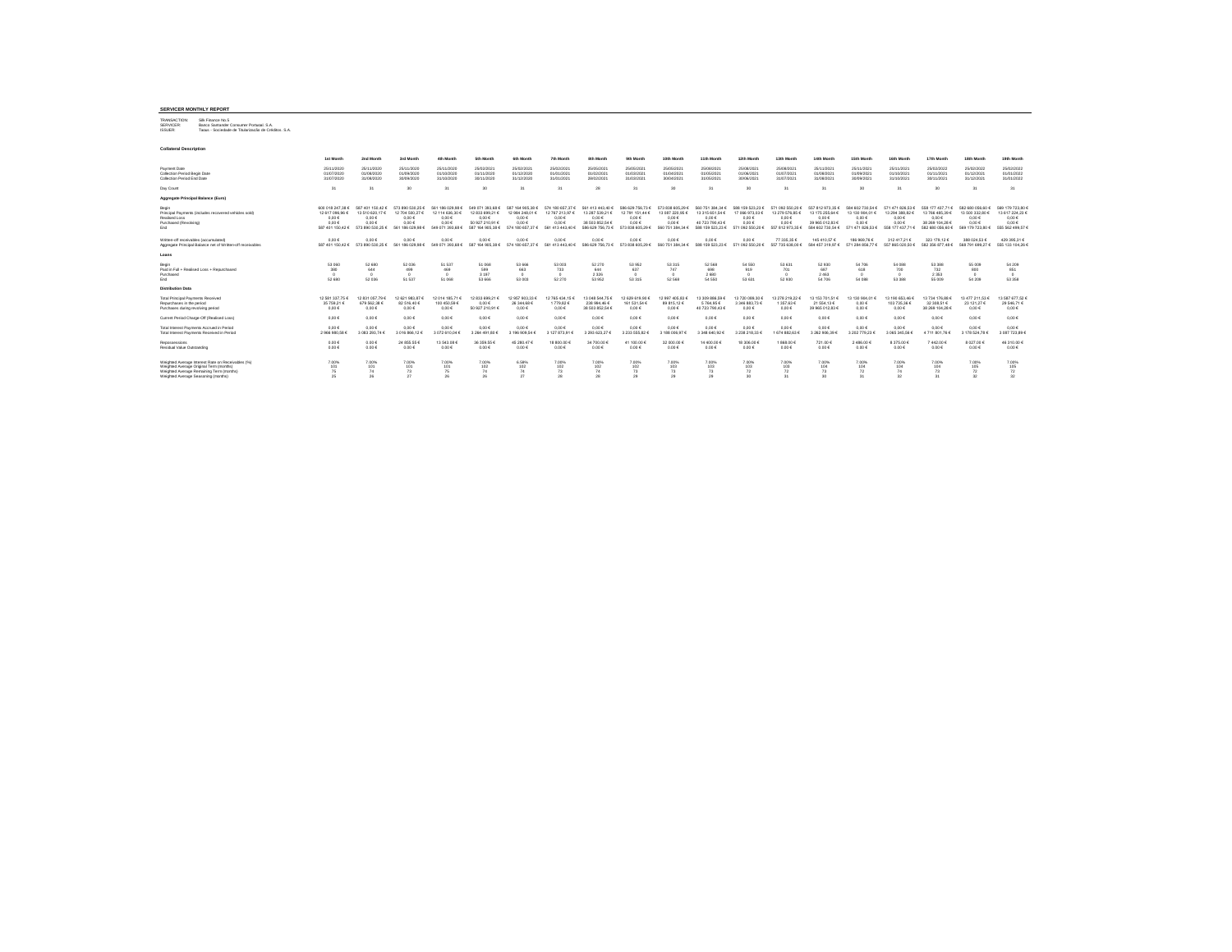#### **SERVICER MONTHLY REPORT**

TRANSACTION: Silk Finance No.5 SERVICER: Banco Santander Consumer Portugal, S.A. ISSUER: Tagus - Sociedade de Titularização de Créditos, S.A.

| <b>IDOUER</b> | TROUGH - OCCIVIDADE DE TRUMITATION DE CHRISTOS. |  |  |  |
|---------------|-------------------------------------------------|--|--|--|
|               |                                                 |  |  |  |
|               |                                                 |  |  |  |

| <b>Collateral Description</b>                                                                                                                                                   |                                                                           |                                                                           |                                                                           |                                                                                     |                                                                                     |                                                                                   |                                                                                     |                                                                                     |                                                                           |                                                                                     |                                                                                     |                                                                                     |                                                                                     |                                                                                   |                                                                                |                                                                           |                                                                                          |                                                                                     |                                                                                     |
|---------------------------------------------------------------------------------------------------------------------------------------------------------------------------------|---------------------------------------------------------------------------|---------------------------------------------------------------------------|---------------------------------------------------------------------------|-------------------------------------------------------------------------------------|-------------------------------------------------------------------------------------|-----------------------------------------------------------------------------------|-------------------------------------------------------------------------------------|-------------------------------------------------------------------------------------|---------------------------------------------------------------------------|-------------------------------------------------------------------------------------|-------------------------------------------------------------------------------------|-------------------------------------------------------------------------------------|-------------------------------------------------------------------------------------|-----------------------------------------------------------------------------------|--------------------------------------------------------------------------------|---------------------------------------------------------------------------|------------------------------------------------------------------------------------------|-------------------------------------------------------------------------------------|-------------------------------------------------------------------------------------|
|                                                                                                                                                                                 | 1st Month                                                                 | 2nd Month                                                                 | 3rd Month                                                                 | 4th Month                                                                           | 5th Month                                                                           | <b>Fah Month</b>                                                                  | 7th Month                                                                           | <b><i><u>Rth Month</u></i></b>                                                      | 9th Month                                                                 | 10th Month                                                                          | 11th Month                                                                          | 12th Month                                                                          | 13th Month                                                                          | 14th Month                                                                        | 15th Month                                                                     | 16th Month                                                                | 17th Month                                                                               | 18th Month                                                                          | 19th Month                                                                          |
| Payment Date<br>Collection Period Begin Date<br>Collection Period End Date                                                                                                      | 25/11/2020<br>01/07/2020<br>31/07/2020                                    | 25/11/2020<br>01/08/2020<br>31/08/2020                                    | 25/11/2020<br>01/09/2020<br>30/09/2020                                    | 25/11/2020<br>01/10/2020<br>31/10/2020                                              | 25/02/2021<br>01/11/2020<br>30/11/2020                                              | 25/02/2021<br>01/12/2020<br>31/12/2020                                            | 25/02/2021<br>01/01/2021<br>31/01/2021                                              | 25/05/2021<br>01/02/2021<br>28/02/2021                                              | 25/05/2021<br>01/03/2021<br>31/03/2021                                    | 25/05/2021<br>01/04/2021<br>30/04/2021                                              | 25/08/2021<br>01/05/2021<br>31/05/2021                                              | 25/08/2021<br>01/06/2021<br>30/06/202                                               | 25/08/2021<br>01/07/2021<br>31/07/2021                                              | 25/11/202<br>01/08/202<br>31/08/202                                               | 25/11/2021<br>01/09/202<br>30/09/2021                                          | 25/11/2021<br>01/10/2021<br>31/10/2021                                    | 25/02/2022<br>01/11/2021<br>30/11/2021                                                   | 25/02/2022<br>01/12/2021<br>31/12/2021                                              | 25/02/2022<br>01/01/2022<br>31/01/2022                                              |
| Day Count                                                                                                                                                                       | 24                                                                        | 24                                                                        | 30                                                                        | 24                                                                                  | 20                                                                                  | 31                                                                                | 31                                                                                  | 28                                                                                  | 31                                                                        | 30                                                                                  | 31                                                                                  | 30                                                                                  | 31                                                                                  | 31                                                                                | 30                                                                             | $\mathcal{R}^*$                                                           | 30 <sub>0</sub>                                                                          | 31                                                                                  | 31                                                                                  |
| Aggregate Principal Balance (Euro)                                                                                                                                              |                                                                           |                                                                           |                                                                           |                                                                                     |                                                                                     |                                                                                   |                                                                                     |                                                                                     |                                                                           |                                                                                     |                                                                                     |                                                                                     |                                                                                     |                                                                                   |                                                                                |                                                                           |                                                                                          |                                                                                     |                                                                                     |
| Begin<br>Principal Payments (includes recovered vehicles sold)<br>Realised Loss<br>Purchased (Revolving)<br>End                                                                 | 600 018 247.38 €<br>12 617 096.96 €<br>0.006<br>0.00E<br>587 401 150.42 € | 587 401 150 42 6<br>13 510 620.17 €<br>0.00E<br>0.00€<br>573 890 530.25 € | 573,890,530,25.6<br>12 704 500.27 €<br>0.00E<br>0.00E<br>561 186 029 98 € | 561 186 029 98 €<br>12 114 636.30 €<br>$0.00 \in$<br>$0.00 \in$<br>549 071 393.68 € | 549.071.393.68.6<br>12 833 699.21 €<br>0.00€<br>50 927 210.91 €<br>587 164 905.38 € | 587<br>164 905 38 F<br>12 984 248.01 €<br>0.00E<br>$0.00 \in$<br>574 180 657.37 € | 574 180 657 37 €<br>12 767 213.97 €<br>$0.00 \in$<br>$0.00 \in$<br>561 413 443.40 € | 561 413 443 40 6<br>13 287 539.21 €<br>0.006<br>38 503 852.54 €<br>586 629 756.73 € | 586 629 756 73 6<br>12 791 151.44 €<br>0.006<br>0.00E<br>573 838 605.29 € | 573 838 605 29 F<br>13 087 220.95 €<br>$0.00 \in$<br>$0.00 \in$<br>560 751 384.34 € | 560 751 384.34 €<br>13 315 651.54 €<br>0.00E<br>40 723 790.43 €<br>588 159 523,23 € | 588 159 523 23 6<br>17 066 973.03 €<br>$0.00 \in$<br>$0.00 \in$<br>571 092 550.20 € | 571 092 550.20 €<br>13 279 576.85 €<br>$0.00 \in$<br>$0.00 \in$<br>557 812 973.35 € | 557 812 973 35 €<br>13 175 255.64 €<br>0.006<br>39 965 012.83<br>584 602 730 54 € | 584 602 730.54 €<br>13 130 904.01 €<br>0.00E<br>$0.00 \in$<br>571 471 826.53 € | 571 471 826.53 €<br>13 294 388.82 €<br>0.006<br>0.006<br>558 177 437.71 € | 558 177 437.71 €<br>13 766 485.39 €<br>$0.00 \in$<br>38.269.104.28.6<br>582 680 056.60 € | 582 680 056.60 €<br>13 500 332 80 6<br>$0.00 \in$<br>$0.00 \in$<br>569 179 723.80 € | 569 179 723.80 6<br>13 617 224.23 6<br>$0.00 \in$<br>$0.00 \in$<br>555 562 499.57 6 |
| Written-off receivables (accumulated)<br>Aggregate Principal Balance net of Written-off receivables                                                                             | 0.00E<br>587 401 150.42 €                                                 | 0.00€<br>573 890 530.25 €                                                 | 0.00 E<br>561 186 029.98 €                                                | $0.00 \in$<br>549.071.393.68.6                                                      | 0.00E<br>587 164 905.38 €                                                           | $0.00 \in$<br>574 180 657 37 F                                                    | 0.00E<br>561 413 443 40 6                                                           | 0.00E<br>586 629 756.73 €                                                           | $0.00 \in$<br>573 838 605 29 6                                            | $0.00 \in$<br>560 751 384 34 6                                                      | 0.00E<br>588 159 523 23 6                                                           | $0.00 \in$<br>571 092 550.20 €                                                      | 77 335.35 €<br>557 735 638.00 6                                                     | 145 410.57 €<br>584 457 319 97 F                                                  | 186 969.76 €<br>571 284 856.77 €                                               | 312 417.21 €<br>557 865 020.50 €                                          | 323 179.12 €<br>582 356 877.48 €                                                         | 388 024 53 €<br>568 791 699.27 €                                                    | 429 395.31 €<br>555 133 104.26 6                                                    |
| Loans                                                                                                                                                                           |                                                                           |                                                                           |                                                                           |                                                                                     |                                                                                     |                                                                                   |                                                                                     |                                                                                     |                                                                           |                                                                                     |                                                                                     |                                                                                     |                                                                                     |                                                                                   |                                                                                |                                                                           |                                                                                          |                                                                                     |                                                                                     |
| Begin<br>Paid in Full + Realised Loss + Repurchased<br>Purchased<br>End                                                                                                         | 53 060<br>380<br>52 680                                                   | 52 680<br>644<br>52 036                                                   | 52 036<br>499<br>51 537                                                   | 51 537<br>469<br>51 068                                                             | 51 068<br>599<br>3 1 9 7<br>53 666                                                  | 53 666<br>663<br>53 003                                                           | 53 003<br>733<br>$\sim$<br>52 270                                                   | 52 270<br>644<br>2 3 2 6<br>53952                                                   | 53 952<br>637<br>53 315                                                   | 53 31 5<br>747<br>$\Omega$<br>52 568                                                | 52 568<br>698<br>2680<br>54 550                                                     | 54 550<br>919<br>53 631                                                             | 53 631<br>701<br>52 930                                                             | 52 930<br>687<br>2463<br>54 70 6                                                  | 54 70 6<br>618<br>$\Omega$<br>54 088                                           | 54 088<br>700<br>53 388                                                   | 53 388<br>732<br>2 3 5 3<br>55 009                                                       | 55 009<br>800<br>$\Omega$<br>54 209                                                 | 54 209<br>851<br>$\Omega$<br>53 358                                                 |
| <b>Distribution Data</b>                                                                                                                                                        |                                                                           |                                                                           |                                                                           |                                                                                     |                                                                                     |                                                                                   |                                                                                     |                                                                                     |                                                                           |                                                                                     |                                                                                     |                                                                                     |                                                                                     |                                                                                   |                                                                                |                                                                           |                                                                                          |                                                                                     |                                                                                     |
| <b>Total Principal Payments Received</b><br>Repurchases in the period<br>Purchases during revolving period                                                                      | 12 581 337.75 €<br>35 759 21 €<br>$0.00 \in$                              | 12831057.796<br>679 562.38 6<br>0.00€                                     | 12 621 983 87 €<br>82 516 40 6<br>$0.00 \in$                              | 12 014 185.71<br>100 450 59 6<br>$0.00 \in$                                         | 12 833 699.21 €<br>$0.00 \in$<br>50 927 210.91 €                                    | 12 957 903 33 6<br>26 344.68 6<br>$0.00 \in$                                      | 2 765 434.15 €<br>1779.826<br>0.00E                                                 | 13 048 544 75<br>238 994.46 €<br>38 503 852.54 €                                    | 12 629 619 90<br>161 531.54 €<br>$0.00 \in$                               | 12 997 405 83 6<br>89 815.12 €<br>0.00E                                             | 13 309 886.59 €<br>5764.95€<br>40 723 790.43 €                                      | 13 720 089.30<br>3 346 883 73 6<br>$0.00 \in$                                       | 13 278 219.22<br>1 357.63 €<br>$0.00 \in$                                           | 13 153 701 514<br>21 554.13 €<br>39 965 012.83 6                                  | 13 130 904.01<br>0.00E<br>$0.00 \in$                                           | 84.529.001.51<br>103 735.36 €<br>0.00E                                    | 13 734 176 88<br>32 308.51 6<br>38 269 104.28 €                                          | 13 477 211.53 6<br>23 121.27 €<br>$0.00 \in$                                        | 13 587 677.52 6<br>29 546.71 €<br>$0.00 \in$                                        |
| Current Period Charge-Off (Realised Loss)                                                                                                                                       | $0.00 \in$                                                                | 0.00€                                                                     | $0.00 \in$                                                                | $0.00 \in$                                                                          | 0.00E                                                                               | $0.00 \in$                                                                        | $0.00 \in$                                                                          | 0.00€                                                                               | $0.00 \in$                                                                | $0.00 \in$                                                                          | 0.00E                                                                               | $0.00 \in$                                                                          | $0.00 \in$                                                                          | 0.006                                                                             | 0.00E                                                                          | 0.006                                                                     | $0.00 \in$                                                                               | $0.00 \in$                                                                          | $0.00 \in$                                                                          |
| Total Interest Payments Accrued in Period<br>Total Interest Payments Received in Period                                                                                         | $0.00 \in$<br>2 966 980.58                                                | 0.00E<br>083 293.74                                                       | $0.00 \in$<br>3016 866.12                                                 | $0.00 \in$<br>3 072 610.04                                                          | $0.00 \in$<br>3 264 491.80                                                          | $0.00 \in$<br>196 909.54                                                          | $0.00 \in$<br>127 873.91                                                            | $0.00 \in$<br>3 293 623 27                                                          | $0.00 \in$<br>3 233 555 82                                                | $0.00 \in$<br>188 006.97                                                            | 0.00E<br>3 348 640.92                                                               | $0.00 \in$<br>323821833                                                             | $0.00 \in$<br>1 674 882.63                                                          | $0.00 \in$<br>262 906.39                                                          | $0.00 \in$<br>3 202 779 23                                                     | $0.00 \in$<br>3 065 345.56 4                                              | $0.00 \in$<br>4711801.766                                                                | $0.00 \in$<br>178 524.78                                                            | $0.00 \in$<br>3 087 723.89                                                          |
| Repossessions<br>Residual Value Outstanding                                                                                                                                     | $0.00 \in$<br>0.00E                                                       | $0.00 \in$<br>0.00€                                                       | 24 855.55<br>$0.00 \in$                                                   | 13 543 08 4<br>0.00E                                                                | 36 359.55 €<br>$0.00 \in$                                                           | 45 280.47 6<br>$0.00 \in$                                                         | 18 800.00 +<br>0.00E                                                                | 34 700.00 €<br>0.00€                                                                | 41 100.00 €<br>$0.00 \in$                                                 | 32 000 00 6<br>0.00E                                                                | 14 400.00<br>0.00E                                                                  | 18 30 6.00 6<br>$0.00 \in$                                                          | 1868.006<br>$0.00 \in$                                                              | 721.00 €<br>$0.00 \in$                                                            | 2486.006<br>$0.00 \in$                                                         | 8 375.00 €<br>$0.00 \in$                                                  | 7442.00€<br>$0.00 \in$                                                                   | 8 027.00 €<br>$0.00 \in$                                                            | 46 310.00 €<br>$0.00 \in$                                                           |
| Weighted Average Interest Rate on Receivables (%)<br>Weighted Average Original Term (months)<br>Weighted Average Remaining Term (months)<br>Weighted Average Seasoning (months) | 7.00%<br>101<br>75                                                        | 7.00%<br>101<br>74<br>26                                                  | 7.00%<br>101<br>73<br>27                                                  | 7.00%<br>101                                                                        | 7.00%<br>102<br>74<br>26                                                            | 6.59%<br>102<br>74<br>27                                                          | 7.00%<br>102<br>73<br>28                                                            | 7.00%<br>102<br>74<br>28                                                            | 7.00%<br>102<br>73<br>29                                                  | 7.00%<br>103<br>73<br>29                                                            | 7.00%<br>103<br>73<br>29                                                            | 7.00%<br>103<br>72<br>30                                                            | 7.00%<br>103<br>72<br>31                                                            | 7.00%<br>104<br>30                                                                | 7.00%<br>104<br>72<br>31                                                       | 7.00%<br>104<br>74<br>32                                                  | 7.00%<br>104<br>75<br>31                                                                 | 7.00%<br>105<br>72<br>32 <sub>o</sub>                                               | 7.00%<br>105<br>72<br>$\infty$                                                      |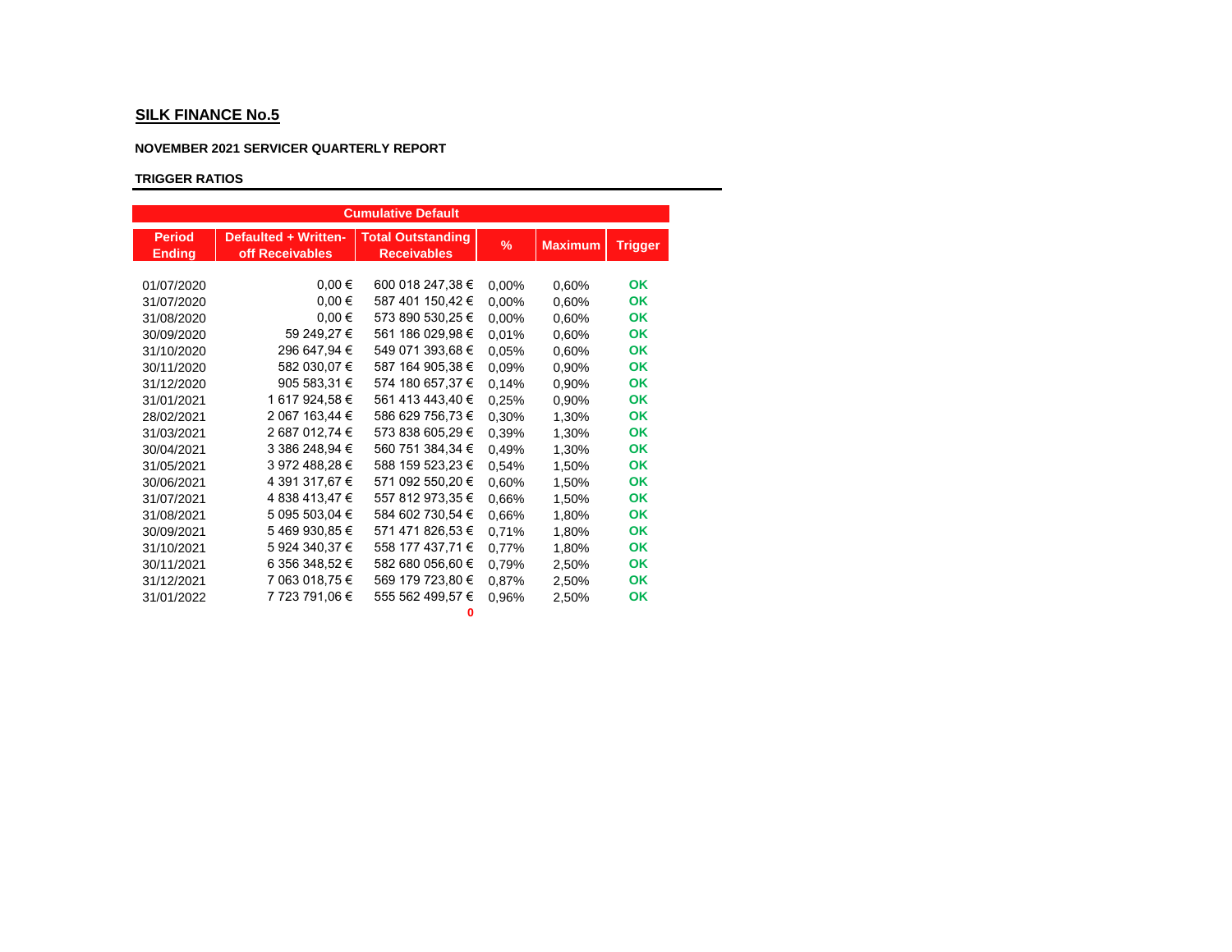# **NOVEMBER 2021 SERVICER QUARTERLY REPORT**

# **TRIGGER RATIOS**

|                                |                                                | <b>Cumulative Default</b>                      |       |                |                |
|--------------------------------|------------------------------------------------|------------------------------------------------|-------|----------------|----------------|
| <b>Period</b><br><b>Ending</b> | <b>Defaulted + Written-</b><br>off Receivables | <b>Total Outstanding</b><br><b>Receivables</b> | $\%$  | <b>Maximum</b> | <b>Trigger</b> |
| 01/07/2020                     | $0,00 \in$                                     | 600 018 247,38 €                               | 0,00% | 0,60%          | OK             |
| 31/07/2020                     | $0,00 \in$                                     | 587 401 150,42 €                               | 0,00% | 0,60%          | OK             |
| 31/08/2020                     | $0,00 \in$                                     | 573 890 530,25 €                               | 0,00% | 0.60%          | OK             |
| 30/09/2020                     | 59 249,27 €                                    | 561 186 029,98 €                               | 0.01% | 0.60%          | OK             |
| 31/10/2020                     | 296 647,94 €                                   | 549 071 393,68 €                               | 0.05% | 0.60%          | OK             |
| 30/11/2020                     | 582 030,07 €                                   | 587 164 905,38 €                               | 0.09% | 0,90%          | OK             |
| 31/12/2020                     | 905 583,31 €                                   | 574 180 657,37 €                               | 0.14% | 0.90%          | OK             |
| 31/01/2021                     | 1 617 924,58 €                                 | 561 413 443,40 €                               | 0,25% | 0.90%          | OK             |
| 28/02/2021                     | 2 067 163,44 €                                 | 586 629 756,73 €                               | 0.30% | 1.30%          | OK             |
| 31/03/2021                     | 2 687 012,74 €                                 | 573 838 605,29 €                               | 0.39% | 1,30%          | <b>OK</b>      |
| 30/04/2021                     | 3 386 248,94 €                                 | 560 751 384,34 €                               | 0,49% | 1,30%          | OK             |
| 31/05/2021                     | 3 972 488.28 €                                 | 588 159 523,23 €                               | 0,54% | 1.50%          | OK             |
| 30/06/2021                     | 4 391 317,67 €                                 | 571 092 550,20 €                               | 0.60% | 1.50%          | OK             |
| 31/07/2021                     | 4 838 413,47 €                                 | 557 812 973,35 €                               | 0.66% | 1,50%          | <b>OK</b>      |
| 31/08/2021                     | 5 095 503,04 €                                 | 584 602 730,54 €                               | 0.66% | 1,80%          | OK             |
| 30/09/2021                     | 5469930,85€                                    | 571 471 826,53 €                               | 0,71% | 1.80%          | <b>OK</b>      |
| 31/10/2021                     | 5 924 340,37 €                                 | 558 177 437,71 €                               | 0,77% | 1,80%          | OK             |
| 30/11/2021                     | 6 356 348,52 €                                 | 582 680 056,60 €                               | 0,79% | 2,50%          | OK             |
| 31/12/2021                     | 7 063 018,75 €                                 | 569 179 723,80 €                               | 0,87% | 2,50%          | OK             |
| 31/01/2022                     | 7 723 791,06 €                                 | 555 562 499,57 €<br>o                          | 0.96% | 2,50%          | OK             |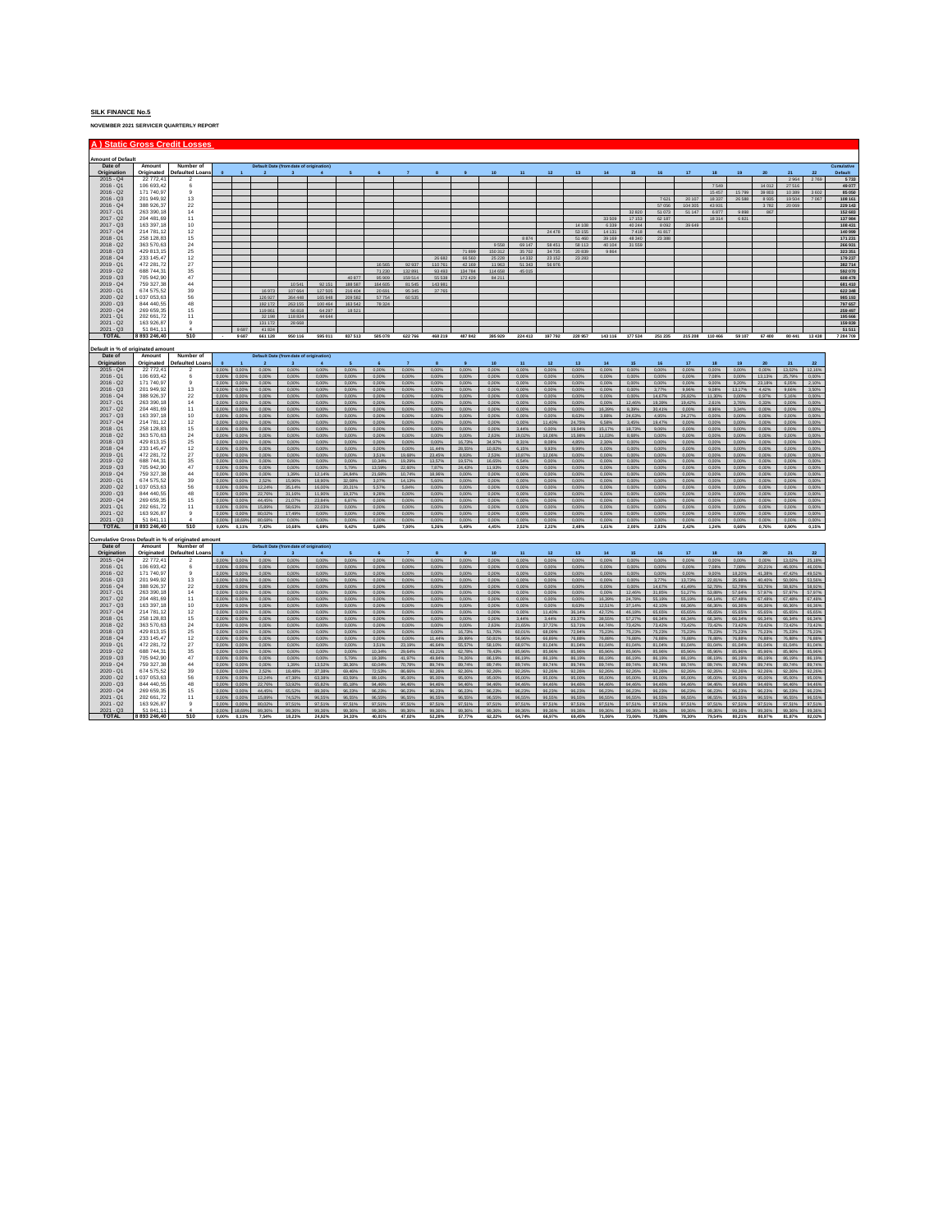**NOVEMBER 2021 SERVICER QUARTERLY REPORT**

|                                     |                                | A) Static Gross Credit Losses                      |                      |                      |                         |                                                         |                  |                  |                  |                   |                    |                   |                   |                   |                   |                   |                  |                      |                  |                   |                   |                   |                  |                  |                  |                    |
|-------------------------------------|--------------------------------|----------------------------------------------------|----------------------|----------------------|-------------------------|---------------------------------------------------------|------------------|------------------|------------------|-------------------|--------------------|-------------------|-------------------|-------------------|-------------------|-------------------|------------------|----------------------|------------------|-------------------|-------------------|-------------------|------------------|------------------|------------------|--------------------|
|                                     |                                |                                                    |                      |                      |                         |                                                         |                  |                  |                  |                   |                    |                   |                   |                   |                   |                   |                  |                      |                  |                   |                   |                   |                  |                  |                  |                    |
| <b>Amount of Default</b><br>Date of | Amount                         | Number of                                          |                      |                      |                         | Default Date (from date of origination)                 |                  |                  |                  |                   |                    |                   |                   |                   |                   |                   |                  |                      |                  |                   |                   |                   |                  |                  |                  | Cumulative         |
| Origination                         | Originated                     | <b>Defaulted Loans</b>                             |                      |                      |                         |                                                         | $\Delta$         |                  |                  |                   |                    |                   |                   | 11                | 12                | 13                | 14               | 15                   | 16               | 17                | 18                | 19                | 20               | 21               | 22               | Default            |
| $2015 - Q4$                         | 22 772,41                      | $\overline{2}$                                     |                      |                      |                         |                                                         |                  |                  |                  |                   |                    |                   |                   |                   |                   |                   |                  |                      |                  |                   |                   |                   |                  | 2964             | 2769             | 5733               |
| $2016 - Q1$                         | 106 693 43                     | 6                                                  |                      |                      |                         |                                                         |                  |                  |                  |                   |                    |                   |                   |                   |                   |                   |                  |                      |                  |                   | 7.549             |                   | 14.012           | 27.516           |                  | 49 077             |
| $2016 - Q2$<br>$2016 - 03$          | 171 740,97<br>201 949 92       | 9<br>13                                            |                      |                      |                         |                                                         |                  |                  |                  |                   |                    |                   |                   |                   |                   |                   |                  |                      | 7621             | 20 10 7           | 15457<br>18.337   | 15799<br>26 5 8 8 | 39 80 3<br>8.935 | 10 389<br>19,504 | 3 6 0 2<br>7.057 | 85 050<br>108 161  |
| $2016 - Q4$                         | 388 926,37                     | 22                                                 |                      |                      |                         |                                                         |                  |                  |                  |                   |                    |                   |                   |                   |                   |                   |                  |                      | 57056            | 104 305           | 43 931            |                   | 3782             | 20 069           |                  | 229 143            |
| $2017 - Q1$                         | 263 390.18                     | 14                                                 |                      |                      |                         |                                                         |                  |                  |                  |                   |                    |                   |                   |                   |                   |                   |                  | 32.820               | 51 073           | 51 147            | 6877              | 9895              | 867              |                  |                  | 152 683            |
| $2017 - 02$                         | 204 481 69                     | 11                                                 |                      |                      |                         |                                                         |                  |                  |                  |                   |                    |                   |                   |                   |                   |                   | 33,509           | 17.153               | 62.187           |                   | 18314             | 6.821             |                  |                  |                  | 137984             |
| $2017 - Q3$                         | 163 397,18                     | 10                                                 |                      |                      |                         |                                                         |                  |                  |                  |                   |                    |                   |                   |                   |                   | 14 10 8           | 6 3 3 9          | 40 244               | 8092             | 39 64             |                   |                   |                  |                  |                  | 108 431            |
| $2017 - 04$                         | 214 781 12                     | 12                                                 |                      |                      |                         |                                                         |                  |                  |                  |                   |                    |                   |                   |                   | 24 478            | 53.155            | 14 131           | 7.418                | 41817            |                   |                   |                   |                  |                  |                  | 140 999            |
| $2018 - Q1$                         | 258 128.83                     | 15                                                 |                      |                      |                         |                                                         |                  |                  |                  |                   |                    |                   |                   | 8.874             |                   | 51,460            | 39 169           | 48 340               | 23 3 8 8         |                   |                   |                   |                  |                  |                  | 171 231            |
| $2018 - Q2$                         | 363 570.63                     | 24                                                 |                      |                      |                         |                                                         |                  |                  |                  |                   |                    |                   | 9 5 5 8           | 69 147            | 58 451            | 58 113            | 40 104           | 31 559               |                  |                   |                   |                   |                  |                  |                  | 266 931            |
| $2018 - 03$                         | 429 813 15                     | 25                                                 |                      |                      |                         |                                                         |                  |                  |                  |                   |                    | 71,899            | 150.312           | 35,702            | 34.735            | 20,839            | 9.864            |                      |                  |                   |                   |                   |                  |                  |                  | 323.351            |
| $2018 - Q4$<br>$2019 - 01$          | 233 145.47<br>472 281 72       | $12$<br>27                                         |                      |                      |                         |                                                         |                  |                  |                  |                   | 26 682             | 66 560            | 25 2 28           | 14 3 3 2          | 23 15 2           | 23 2 8 3          |                  |                      |                  |                   |                   |                   |                  |                  |                  | 179 237            |
| $2019 - Q2$                         | 688 744.31                     | 35                                                 |                      |                      |                         |                                                         |                  |                  | 16.565<br>71.230 | 92.937<br>132 891 | 110.761<br>93 4 93 | 42.169<br>134784  | 11.963<br>114 658 | 51.343<br>45 015  | <b>SE 976</b>     |                   |                  |                      |                  |                   |                   |                   |                  |                  |                  | 382714             |
| $2019 - Q3$                         | 705 942.90                     | 47                                                 |                      |                      |                         |                                                         |                  | 40 877           | 95 909           | 159 514           | 55 538             | 172429            | 84 211            |                   |                   |                   |                  |                      |                  |                   |                   |                   |                  |                  |                  | 592 070<br>608 478 |
| $2019 - Q4$                         | 759 327.38                     | 44                                                 |                      |                      |                         | 10 541                                                  | 92 151           | 188 587          | 164 605          | 81 545            | 143 981            |                   |                   |                   |                   |                   |                  |                      |                  |                   |                   |                   |                  |                  |                  | 681 410            |
| $2020 - Q1$                         | 674 575.52                     | 39                                                 |                      |                      | 16.973                  | 107.664                                                 | 127,505          | 216,404          | 20,691           | 95.345            | 37 765             |                   |                   |                   |                   |                   |                  |                      |                  |                   |                   |                   |                  |                  |                  | 622 348            |
| $2020 - Q2$                         | 037 053,63                     | 56                                                 |                      |                      | 126 927                 | 364 448                                                 | 165,948          | 209 582          | 57.754           | 60 535            |                    |                   |                   |                   |                   |                   |                  |                      |                  |                   |                   |                   |                  |                  |                  | 985 193            |
| $2020 - Q3$                         | 844 440 55                     | 48                                                 |                      |                      | 192 172                 | 263 155                                                 | 100 464          | 163 542          | 78 324           |                   |                    |                   |                   |                   |                   |                   |                  |                      |                  |                   |                   |                   |                  |                  |                  | 797 657            |
| $2020 - Q4$                         | 269 659,35                     | 15                                                 |                      |                      | 119 861                 | 56818                                                   | 64 29 7          | 18521            |                  |                   |                    |                   |                   |                   |                   |                   |                  |                      |                  |                   |                   |                   |                  |                  |                  | 259 497            |
| $2021 - Q1$                         | 202 661.72                     | 11                                                 |                      |                      | 32 198                  | 118824                                                  | 44 644           |                  |                  |                   |                    |                   |                   |                   |                   |                   |                  |                      |                  |                   |                   |                   |                  |                  |                  | 195 666            |
| $2021 - Q2$                         | 163 926 87                     | 9                                                  |                      |                      | 131 172                 | 28 6 68                                                 |                  |                  |                  |                   |                    |                   |                   |                   |                   |                   |                  |                      |                  |                   |                   |                   |                  |                  |                  | 159 839            |
| $2021 - Q3$<br><b>TOTAL</b>         | 51 841 11<br>8 8 9 3 2 4 6 4 0 | 510                                                |                      | 9.687<br>9.687       | 41824<br><b>661 128</b> |                                                         |                  |                  |                  |                   |                    | 487 842           |                   |                   |                   |                   | 143 116          |                      |                  |                   |                   | 59.107            | 67400            |                  |                  | 51 511             |
|                                     |                                |                                                    |                      |                      |                         | 950 116                                                 | 595 011          | 837 513          | 505 078          | 622 766           | 468 219            |                   | 395 929           | 224 413           | 197792            | 220 957           |                  | 177 534              | 251 235          | 215 208           | 110 466           |                   |                  | 80 441           | 13 4 38          | 7 284 709          |
| Default in % of originated amount   |                                |                                                    |                      |                      |                         |                                                         |                  |                  |                  |                   |                    |                   |                   |                   |                   |                   |                  |                      |                  |                   |                   |                   |                  |                  |                  |                    |
| Date of                             | Amount                         | Number of                                          |                      |                      |                         | Default Date (from date of origination)                 |                  |                  |                  |                   |                    |                   |                   |                   |                   |                   |                  |                      |                  |                   |                   |                   |                  |                  |                  |                    |
| Origination                         | Originated                     | Defaulted Loans<br>$\overline{ }$                  | $\sqrt{2}$           |                      | $\overline{2}$          | $\mathbf{a}$                                            | $\overline{a}$   | $\mathbf{g}$     |                  | $\mathbf{z}$      |                    | $\mathbf{q}$      | 10 <sub>10</sub>  | 11                | 12 <sup>12</sup>  | 13                | 14               | 15                   | 16               | 17 <sup>2</sup>   | 18                | 19                | 20               | 21               | $\bf{22}$        |                    |
| $2015 - Q4$<br>$2016 - Q1$          | 22 772.41<br>106 693.42        | 6                                                  | 0.00%                | 0,00% 0,00%<br>0.00% | 0,00%<br>0.00%          | 0,00%<br>0.00%                                          | 0,00%<br>0.00%   | 0,00%<br>0.00%   | 0,00%<br>0.00%   | $0,00\%$<br>0,00% | 0,00%<br>0.00%     | $0,00\%$<br>0.00% | 0,00%<br>0.00%    | $0,00\%$<br>0.00% | 0,00%<br>$0.00\%$ | $0,00\%$<br>0.00% | 0,00%<br>0.00%   | $0,00\%$<br>$0.00\%$ | 0,00%<br>0.00%   | $0,00\%$<br>0.00% | $0,00\%$<br>7.08% | 0,00%<br>0.00%    | 0,00%<br>13.13%  | 13,02%<br>25.79% | 12,16%<br>0.00%  |                    |
| $2016 - Q2$                         | 171 740.97                     | $\mathbf{a}$                                       |                      | 0,00% 0,00%          | 0,00%                   | 0,00%                                                   | 0,00%            | 0,00%            | 0,00%            | 0,00%             | $0,00\%$           | 0,00%             | 0,00%             | 0,00%             | $0,00\%$          | 0,00%             | 0,00%            | 0,00%                | 0,00%            | 0,00%             | $9,00\%$          | 9,20%             | 23,18%           | 6,05%            | 2,10%            |                    |
| $2016 - Q3$                         | 201 949.92                     | 13                                                 | 0.00%                | 0.00%                | 0.00%                   | 0.00%                                                   | 0.00%            | 0.00%            | 0.00%            | 0.00%             | 0.00%              | 0.00%             | 0.00%             | 0.00%             | 0.00%             | 0.00%             | 0.00%            | 0.00%                | 3.77%            | 9.96%             | 9.08%             | 13.17%            | 4.42%            | 9.66%            | 3.50%            |                    |
| $2016 - Q4$                         | 388 926.37                     | 22                                                 | 0.00%                | 0.00%                | 0.00%                   | 0.00%                                                   | 0.00%            | 0.00%            | 0.00%            | 0.00%             | 0.00%              | 0.00%             | 0.00%             | 0.00%             | 0.00%             | 0.00%             | 0.00%            | 0.00%                | 14.67%           | 26.82%            | 11.30%            | 0.00%             | 0.97%            | 5.16%            | 0.00%            |                    |
| $2017 - Q1$                         | 263,390.18                     | 14                                                 | 0,00%                | 0,00%                | 0.00%                   | 0,00%                                                   | 0.00%            | 0.00%            | 0,00%            | 0,00%             | 0,00%              | 0,00%             | 0,00%             | 0,00%             | 0,00%             | 0,00%             | 0,00%            | 12,46%               | 19,39%           | 19,42%            | 2.61%             | 3,76%             | 0,33%            | 0.00%            | 0,00%            |                    |
| $2017 - Q2$                         | 204 481.69                     | 11                                                 |                      | 0.00% 0.00%          | 0.00%                   | 0.00%                                                   | 0.00%            | 0.00%            | 0.00%            | 0.00%             | 0.00%              | 0.00%             | 0.00%             | 0.00%             | 0.00%             | $0.00\%$          | 16.39%           | 8.39%                | 30.41%           | 0.00%             | 8.96%             | 3.34%             | 0.00%            | 0.00%            | 0.00%            |                    |
| $2017 - Q3$                         | 163.397.18                     | 10                                                 | 0.00%                | 0.00%                | 0.00%                   | 0.00%                                                   | 0.00%            | 0,00%            | 0.00%            | 0.00%             | 0.00%              | 0.00%             | 0.00%             | 0.00%             | $0.00\%$          | <b>REAR</b>       | 3.88%            | 24.63%               | 4.95%            | 24.27%            | $0.00\%$          | 0.00%             | 0.00%            | 0.00%            | 0.00%            |                    |
| $2017 - Q4$                         | 214 781.12                     | 12                                                 | 0.00%                | 0.00%                | 0.00%                   | 0.00%                                                   | 0.00%            | 0.00%            | 0.00%            | 0.00%             | 0.00%              | 0.00%             | 0.00%             | 0.00%             | 11,40%            | 24.75%            | 6.58%            | 3.45%                | 19.47%           | 0.00%             | 0.00%             | 0.00%             | 0.00%            | 0.00%            | 0.00%            |                    |
| $2018 - Q1$                         | 258 128.83                     | 15                                                 | 0.00%                | 0.00%                | 0.00%                   | 0.00%                                                   | 0.00%            | 0.00%            | 0.00%            | 0.00%             | 0.00%              | 0.00%             | 0.00%             | 3,44%             | 0.00%             | 19.94%            | 15.17%           | 18.73%               | 9.06%            | 0.00%             | $0.00\%$          | 0.00%             | 0.00%            | 0.00%            | 0.00%            |                    |
| $2018 - Q2$                         | 363 570 63                     | 24                                                 |                      | 0.00% 0.00%          | 0.00%                   | 0.00%                                                   | 0.00%            | 0.00%            | 0.00%            | 0.00%             | 0.00%              | 0.00%             | 2.63%             | 19.02%            | 16.08%            | 15,98%            | 11.03%           | 8.68%                | 0.00%            | 0.00%             | $0.00\%$          | 0,00%             | 0.00%            | 0,00%            | 0.00%            |                    |
| $2018 - Q3$<br>$2018 - 04$          | 429 813.15<br>233 145 47       | 25<br>12                                           | 0.00%                | 0.00%<br>0.00%       | 0.00%<br>0.00%          | 0.00%<br>0.00%                                          | 0.00%<br>0.00%   | 0.00%<br>0.00%   | 0.00%<br>0.00%   | 0.00%             | 0.00%<br>11,44%    | 16.73%<br>28.55%  | 34.97%<br>10.82%  | 8.31%<br>6.15%    | 8.08%<br>9.93%    | 4.85%<br>9,99%    | 2.30%            | 0.00%<br>0.00%       | 0.00%            | 0.00%             | 0.00%<br>0.00%    | 0.00%             | 0.00%<br>0.00%   | 0.00%<br>0.00%   | 0.00%<br>0.00%   |                    |
| $2019 - Q1$                         | 472 281,72                     | 27                                                 | 0,00%<br>0.00% 0.00% |                      | 0.00%                   | 0.00%                                                   | 0.00%            | 0.00%            | 3.51%            | 0,00%<br>19,68%   | 23,45%             | 8.93%             | 2.53%             | 10.87%            | 12.06%            | 0.00%             | 0,00%<br>0.00%   | 0.00%                | 0,00%<br>0.00%   | 0,00%<br>0.00%    | 0.00%             | 0,00%<br>0.00%    | 0.00%            | 0.00%            | 0.00%            |                    |
| $2019 - Q2$                         | 688 744,31                     | 35                                                 | 0.00%                | 0.00%                | 0.00%                   | 0.00%                                                   | 0.00%            | 0.00%            | 10.34%           | 19.29%            | 13.57%             | 19.57%            | 16.65%            | 6.54%             | 0.00%             | 0.00%             | 0.00%            | 0.00%                | 0.00%            | 0.00%             | 0.00%             | 0.00%             | 0.00%            | 0.00%            | 0.00%            |                    |
| $2019 - 03$                         | 705 942 90                     | 47                                                 | 0.00% 0.00%          |                      | 0.00%                   | 0.00%                                                   | 0.00%            | 5.79%            | 13.59%           | 22.60%            | 7.87%              | 24,43%            | 11.93%            | 0.00%             | 0.00%             | $0.00\%$          | $0.00\%$         | 0.00%                | 0.00%            | 0.00%             | $0.00\%$          | 0.00%             | 0.00%            | 0.00%            | 0.00%            |                    |
| $2019 - Q4$                         | 759 327,38                     | 44                                                 |                      | 0.00% 0.00%          | 0.00%                   | 1,39%                                                   | 12.14%           | 24.84%           | 21.68%           | 10.74%            | 18,96%             | 0.00%             | 0.00%             | 0.00%             | 0.00%             | 0.00%             | 0.00%            | 0.00%                | 0.00%            | 0.00%             | $0.00\%$          | 0.00%             | 0.00%            | 0.00%            | 0.00%            |                    |
| $2020 - 01$                         | 674 575 52                     | 39                                                 | 0.00%                | $0.00\%$             | 2.52%                   | 15,96%                                                  | 18.90%           | 32.08%           | 3.07%            | 14 13%            | 5.60%              | n onts            | 0.00%             | 0.00%             | 0.00%             | 0.00%             | 0.00%            | o on%                | 0.00%            | 0.00%             | $0.00\%$          | $0.00\%$          | 0.00%            | $0.00\%$         | 0.00%            |                    |
| $2020 - Q2$                         | 037 053,63                     | 56                                                 | 0,00%                | 0,00%                | 12,24%                  | 35,14%                                                  | 16,00%           | 20,21%           | 5,57%            | 5,84%             | 0,00%              | 0,00%             | 0,00%             | 0,00%             | 0,00%             | 0,00%             | 0,00%            | 0,00%                | 0,00%            | 0,00%             | 0,00%             | 0,00%             | 0,00%            | 0,00%            | 0,00%            |                    |
| $2020 - Q3$                         | 844 440.55                     | 48                                                 | 0.00%                | 0.00%                | 22.76%                  | 31.16%                                                  | 11.90%           | 19.37%           | 9.28%            | 0.00%             | 0.00%              | 0.00%             | 0.00%             | 0.00%             | $0.00\%$          | 0.00%             | 0.00%            | 0.00%                | 0.00%            | 0.00%             | 0.00%             | 0.00%             | $0.00\%$         | 0.00%            | 0.00%            |                    |
| $2020 - 04$<br>$2021 - Q1$          | 269 659 35<br>202 661.72       | 15                                                 |                      | $0.00\%$ 0.00%       | 44,45%                  | 21.07%                                                  | 23,84%           | 6.87%            | 0.00%            | 0.00%             | 0.00%              | 0.00%             | 0.00%             | 0.00%             | 0.00%             | 0.0025            | 0.00%            | 0.00%                | 0.00%            | 0.00%             | $0.00\%$          | 0.0025            | 0.00%            | 0.00%            | 0.00%            |                    |
| $2021 - Q2$                         | 163 926 87                     | 11<br>9                                            | 0,00%<br>0.00%       | 0,00%<br>0.0025      | 15,89%<br>80.02%        | 58,63%<br>17,49%                                        | 22,03%<br>0.00%  | 0,00%<br>0.00%   | 0,00%<br>0,00%   | 0,00%<br>0.00%    | 0,00%<br>0.00%     | 0,00%<br>0.00%    | 0,00%<br>0.00%    | 0,00%<br>0.00%    | 0,00%<br>0.00%    | 0,00%<br>0.00%    | 0,00%<br>0.00%   | 0,00%<br>0,00%       | 0,00%<br>0,00%   | 0,00%<br>0.00%    | $0,00\%$<br>0.00% | 0,00%<br>0.00%    | 0,00%<br>0,00%   | 0,00%<br>0.00%   | 0,00%<br>0.00%   |                    |
| $2021 - Q3$                         | 51 841 11                      |                                                    |                      | 0.00% 18.69%         | 80,68%                  | 0.00%                                                   | 0.00%            | 0.00%            | 0.00%            | 0.00%             | 0.00%              | 0.00%             | 0.00%             | 0.00%             | 0.00%             | 0.00%             | $0.00\%$         | 0.00%                | 0.00%            | $0.00\%$          | $0.00\%$          | 0.00%             | 0.00%            | 0.00%            | 0.00%            |                    |
| <b>TOTAL</b>                        | 8 893 246.40                   | 510                                                |                      | 0,00% 0,11%          | 7.43%                   | 10.68%                                                  | 6,69%            | 9,42%            | 5.68%            | 7,00%             | 5.26%              | 5,49%             | 4.45%             | 2,52%             | 2.22%             | 2.48%             | 1,61%            | 2.00%                | 2.83%            | 2,42%             | 1,24%             | 0.66%             | 0,76%            | 0,90%            | 0,15%            |                    |
|                                     |                                |                                                    |                      |                      |                         |                                                         |                  |                  |                  |                   |                    |                   |                   |                   |                   |                   |                  |                      |                  |                   |                   |                   |                  |                  |                  |                    |
|                                     |                                | Cumulative Gross Default in % of originated amount |                      |                      |                         |                                                         |                  |                  |                  |                   |                    |                   |                   |                   |                   |                   |                  |                      |                  |                   |                   |                   |                  |                  |                  |                    |
| Date of<br>Origination              | Amount<br>Originated           | Number of<br><b>Defaulted Loans</b>                | $\Omega$             |                      | $\overline{2}$          | Default Date (from date of origination)<br>$\mathbf{a}$ | $\overline{a}$   | $\sim$           |                  |                   |                    |                   | 10                | 11                | 12                | 13                | 14               | 15                   | 16               | 17                | 18                | 19                | 20               | 21               | 22               |                    |
| $2015 - Q4$                         | 22 772.4                       | 2                                                  |                      | 0,00% 0,00%          | 0.00%                   | 0.00%                                                   | 0.00%            | 0,00%            | 0,00%            | 0,00%             | $0,00\%$           | 0,00%             | 0,00%             | 0,00%             | 0.00%             | $0.00\%$          | 0,00%            | 0,00%                | 0.00%            | 0,00%             | $0.00\%$          | 0,00%             | 0.00%            | 13,02%           | 25,18%           |                    |
| $2016 - Q1$                         | 106 693,42                     | 6                                                  | 0,00% 0,00%          |                      | 0.00%                   | 0.00%                                                   | 0.00%            | 0.00%            | 0.00%            | 0.00%             | 0.00%              | 0.00%             | 0.00%             | 0.00%             | 0.00%             | 0.00%             | 0.00%            | 0.00%                | 0.00%            | 0.00%             | 7.08%             | 7.08%             | 20.21%           | 46,00%           | 46,00%           |                    |
| $2016 - Q2$                         | 171 740,97                     | $\mathbf{q}$                                       | 0.00%                | 0.00%                | 0.00%                   | 0.00%                                                   | 0.00%            | 0.00%            | 0.00%            | 0.00%             | 0.00%              | 0.00%             | 0.00%             | 0.00%             | 0.00%             | 0.00%             | 0.00%            | 0.00%                | 0.00%            | 0.00%             | 9.00%             | 18.20%            | 41.38%           | 47.42%           | 49.52%           |                    |
| $2016 - 03$                         | 201 949 92                     | 13                                                 | 0.00%                | 0.00%                | $0.00\%$                | $0.00\%$                                                | 0.00%            | 0.00%            | 0.00%            | $0.00\%$          | $0.00\%$           | n nos             | 0.00%             | 0.00%             | 0.00%             | $0.00\%$          | 0.00%            | 0.00%                | 3.77%            | 13.73%            | 22 81%            | 35,98%            | 40,40%           | 50.06%           | 53,56%           |                    |
| $2016 - Q4$                         | 388 926,37                     | 22                                                 |                      | 0,00% 0,00%          | 0.00%                   | 0.00%                                                   | 0.00%            | 0.00%            | 0.00%            | 0.00%             | 0.00%              | 0.00%             | 0.00%             | 0.00%             | $0.00\%$          | 0.00%             | $0.00\%$         | 0.00%                | 14.67%           | 41.49%            | 52.78%            | 52,78%            | 53.76%           | 58.92%           | 58,92%           |                    |
| $2017 - Q1$                         | 263 390,18                     | 14                                                 | 0.00%                | 0.00%                | 0.00%                   | 0.00%                                                   | 0.00%            | 0.00%            | 0.00%            | 0.00%             | 0.00%              | 0.00%             | 0.00%             | 0.00%             | 0.00%             | 0.00%             | 0.00%            | 12,46%               | 31.85%           | 51.27%            | 53.88%            | 57.64%            | 57.97%           | 57.97%           | 57.97%           |                    |
| $2017 - Q2$                         | 204 481.69                     | 11                                                 | 0,00%                | 0,00%                | 0,00%                   | 0,00%                                                   | 0,00%            | 0,00%            | 0,00%            | 0,00%             | 0,00%              | 0,00%             | 0,00%             | 0,00%             | 0,00%             | 0,00%             | 16,39%           | 24,78%               | 55.19%           | 55,19%            | 64,14%            | 67,48%            | 67,48%           | 67,48%           | 67.48%           |                    |
| $2017 - Q3$                         | 163 397,18                     | 10                                                 | 0.00%                | 0.00%                | 0.00%                   | 0.00%                                                   | 0.00%            | 0.00%            | 0.00%            | 0.00%             | 0.00%              | 0.00%             | 0.00%             | 0.00%             | 0.00%             | 8.63%             | 12.51%           | 37.14%               | 42.10%           | 66,36%            | 66,36%            | 66,36%            | 66,36%           | 66,36%           | 66.36%           |                    |
| $2017 - 04$<br>$2018 - Q1$          | 214 781 12<br>258 128.83       | 12<br>15                                           | 0.00%                | 0.0025               | $0.00\%$                | $0.00\%$                                                | 0.00%            | 0.00%            | 0.00%            | $0.00\%$          | $0.00\%$           | n nos             | 0.00%             | 0.00%             | 11,40%<br>3.44%   | 36.14%            | 42.72%<br>38.55% | 46.18%               | 65.65%           | <b>AS ASS</b>     | <b>BS BS%</b>     | <b>AS ASS</b>     | <b>BS BRM.</b>   | <b>BS BS%</b>    | 65.65%           |                    |
| $2018 - Q2$                         | 363 570,63                     | 24                                                 | 0,00%                | 0,00%<br>0,00% 0,00% | 0.00%<br>0,00%          | 0.00%<br>0,00%                                          | 0.00%<br>0.00%   | 0.00%<br>0,00%   | 0,00%<br>0,00%   | 0.00%<br>0,00%    | 0.00%              | 0,00%<br>0,00%    | 0.00%<br>2.63%    | 3,44%<br>21.65%   | 37,72%            | 23.37%<br>53.71%  | 64,74%           | 57,27%<br>73,42%     | 66.34%<br>73,42% | 66.34%<br>73.42%  | 66.34%<br>73,42%  | 66.34%<br>73.42%  | 66,34%<br>73,42% | 66,34%<br>73,42% | 66.34%<br>73.42% |                    |
| $2018 - Q3$                         | 429 813 15                     | 25                                                 |                      | 0,00% 0,00%          | 0,00%                   | 0,00%                                                   | 0,00%            | 0.00%            | 0,00%            | 0,00%             | $0,00\%$<br>0,00%  | 16,73%            | 51.70%            | 60.01%            | 68.09%            | 72.94%            | 75,23%           | 75,23%               | 75,23%           | 75,23%            | 75,23%            | 75,23%            | 75,23%           | 75,23%           | 75.23%           |                    |
| $2018 - Q4$                         | 233 145.47                     | 12                                                 | 0,00%                | 0.00%                | 0.00%                   | 0.00%                                                   | 0.00%            | 0.00%            | 0.00%            | 0.00%             | 11.44%             | 39.99%            | 50.81%            | 56.96%            | 66.89%            | 76,88%            | 76,88%           | 76,88%               | 76,88%           | 76,88%            | 76,88%            | 76,88%            | 76,88%           | 76,889           | 76.88%           |                    |
| $2019 - Q1$                         | 472 281.72                     | 27                                                 |                      | 0.00% 0.00%          | 0.00%                   | 0.00%                                                   | 0.00%            | 0.00%            | 3.51%            | 23.19%            | 46,64%             | 55.57%            | 58.10%            | 68.97%            | 81.04%            | 81.04%            | 81.04%           | 81.04%               | 81.04%           | 81.04%            | 81.04%            | 81.04%            | 81.04%           | 81.04%           | 81.04%           |                    |
| $2019 - Q2$                         | 688 744 31                     | 35                                                 |                      | 0.00% 0.00%          | 0.00%                   | 0.00%                                                   | 0.00%            | 0,00%            | 10.34%           | 29.64%            | 43.21%             | 62,78%            | 79.43%            | <b>B5 BR%</b>     | 85,96%            | 85,96%            | 85.96%           | 85,96%               | 85,96%           | 85.96%            | 85.96%            | 85,96%            | 85,96%           | 85,96%           | 85,96%           |                    |
| $2019 - Q3$                         | 705 942.90                     | 47                                                 | 0.00%                | 0.00%                | 0.00%                   | 0.00%                                                   | 0.00%            | 5.79%            | 19.38%           | 41.97%            | 49.84%             | 74.26%            | 86.19%            | 86.19%            | 86.19%            | 86.19%            | 86.19%           | 86.19%               | 86.19%           | 86.19%            | 86.19%            | 86.19%            | 86.19%           | 86.19%           | 86.19%           |                    |
| $2019 - 04$                         | 759 327 38                     | 44                                                 | 0,00%                | 0.00%                | 0.00%                   | 1.39%                                                   | 13.52%           | 38.36%           | 60.04%           | <b>70 78%</b>     | 89.74%             | 89,74%            | 89,74%            | 89.74%            | 89.74%            | 89.74%            | 89.74%           | 89.74%               | 89,74%           | 89.74%            | 89.74%            | 89.74%            | 89.74%           | 89.74%           | 89.74%           |                    |
| $2020 - Q1$                         | 674 575.52                     | 39                                                 | 0.00%                | 0.00%                | 2.52%                   | 18,48%                                                  | 37.38%           | 69.46%           | 72.53%           | 86,66%            | 92.26%             | 92.26%            | 92.26%            | 92.26%            | 92.26%            | 92.26%            | 92.26%           | 92.26%               | 92.26%           | 92.26%            | 92.26%            | 92.26%            | 92.26%           | 92.26%           | 92.26%           |                    |
| $2020 - Q2$                         | 037 053,63                     | 56                                                 | 0.00%                | 0.00%                | 12.24%                  | 47.38%                                                  | 63.38%           | 83.59%           | 89.16%           | 95,00%            | 95,00%             | 95,00%            | 95.00%            | 95.00%            | 95.00%            | 95.00%            | 95.00%           | 95.00%               | 95.00%           | 95.00%            | 95.00%            | 95.00%            | 95,00%           | 95,00%           | 95,00%           |                    |
| $2020 - Q3$<br>$2020 - Q4$          | 844 440 55<br>269 659.35       | 48<br>15                                           | 0.00%                | 0.00%<br>0.00% 0.00% | 22,76%<br>44.45%        | 53.92%<br>65.52%                                        | 65,82%<br>89.36% | 85.18%<br>96.23% | 94.46%<br>96.23% | 94.46%<br>96.23%  | 94,46%<br>96.23%   | 94,46%<br>96.23%  | 94,46%<br>96.23%  | 94.46%<br>96.23%  | 94.46%<br>96.23%  | 94.46%<br>96.23%  | 94.46%<br>96.23% | 94,46%<br>96.23%     | 94.46%<br>96.23% | 94.46%<br>96.23%  | 94.46%<br>96.23%  | 94.46%<br>96.23%  | 94,46%<br>96.23% | 94,46%<br>96,23% | 94,46%<br>96.23% |                    |
| $2021 - 01$                         | 202 661 72                     | 11                                                 | 0.00%                | $0.00\%$             | 15,89%                  | 74.52%                                                  | 96.55%           | 96.55%           | 96.55%           | 96.55%            | 96,55%             | 96,55%            | 96,65%            | 96.55%            | <b>GE KAYL</b>    | 96.55%            | <b>GE 55%</b>    | 96.55%               | 96.55%           | <b>9655%</b>      | <b>GE FAVAL</b>   | <b>GR RANGE</b>   | 96.55%           | <b>9655%</b>     | 96.55%           |                    |
| $2021 - Q2$                         | 163 926,87                     | $\overline{9}$                                     | 0.00%                | 0.00%                | 80.02%                  | 97.51%                                                  | 97.51%           | 97.51%           | 97.51%           | 97.519            | 97.51%             | 97.51%            | 97.51%            | 97.51%            | 97.51%            | 97.51%            | 97.51%           | 97.51%               | 97.51%           | 97.51%            | 97.519            | 97.51%            | 97.51%           | 97.51%           | 97.51%           |                    |
| $2021 - Q3$                         | 51 841 11                      |                                                    |                      | 0.00% 18.69%         | 99.36%                  | 99.36%                                                  | 99,36%           | 99.36%           | 99.36%           | 99.36%            | 99.36%             | 99.36%            | 99.36%            | 99.36%            | 99.36%            | 99.36%            | 99.36%           | 99.36%               | 99.36%           | 1078.00           | 99.36%            | 99.36%            | 99.36%           | 99.36%           | 99.36%           |                    |
| <b>TOTAL</b>                        | 889324640                      | 510                                                |                      | 0,00% 0,11%          | 7.54%                   | 18.23%                                                  | 24 92%           | 34.33%           | 40.01%           | 47.02%            | 52.28%             | 57.77%            | 62.22%            | 64.74%            | 66.97%            | 69.45%            | <b>71 06%</b>    | 73.06%               | <b>75,88%</b>    | 78.30%            | 79.54%            | 80.21%            | 80.97%           | 81,87%           | 82.02%           |                    |